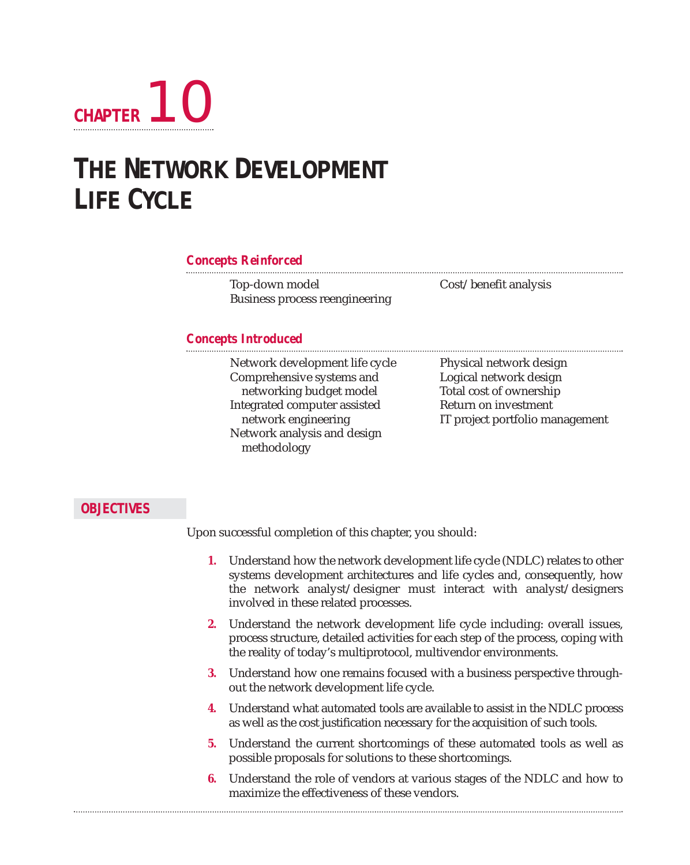

# **THE NETWORK DEVELOPMENT LIFE CYCLE**

# *Concepts Reinforced*

Top-down model Business process reengineering Cost/benefit analysis

# *Concepts Introduced*

Network development life cycle Comprehensive systems and networking budget model Integrated computer assisted network engineering Network analysis and design methodology

Physical network design Logical network design Total cost of ownership Return on investment IT project portfolio management

# **OBJECTIVES**

Upon successful completion of this chapter, you should:

- **1.** Understand how the network development life cycle (NDLC) relates to other systems development architectures and life cycles and, consequently, how the network analyst/designer must interact with analyst/designers involved in these related processes.
- **2.** Understand the network development life cycle including: overall issues, process structure, detailed activities for each step of the process, coping with the reality of today's multiprotocol, multivendor environments.
- **3.** Understand how one remains focused with a business perspective throughout the network development life cycle.
- **4.** Understand what automated tools are available to assist in the NDLC process as well as the cost justification necessary for the acquisition of such tools.
- **5.** Understand the current shortcomings of these automated tools as well as possible proposals for solutions to these shortcomings.
- **6.** Understand the role of vendors at various stages of the NDLC and how to maximize the effectiveness of these vendors.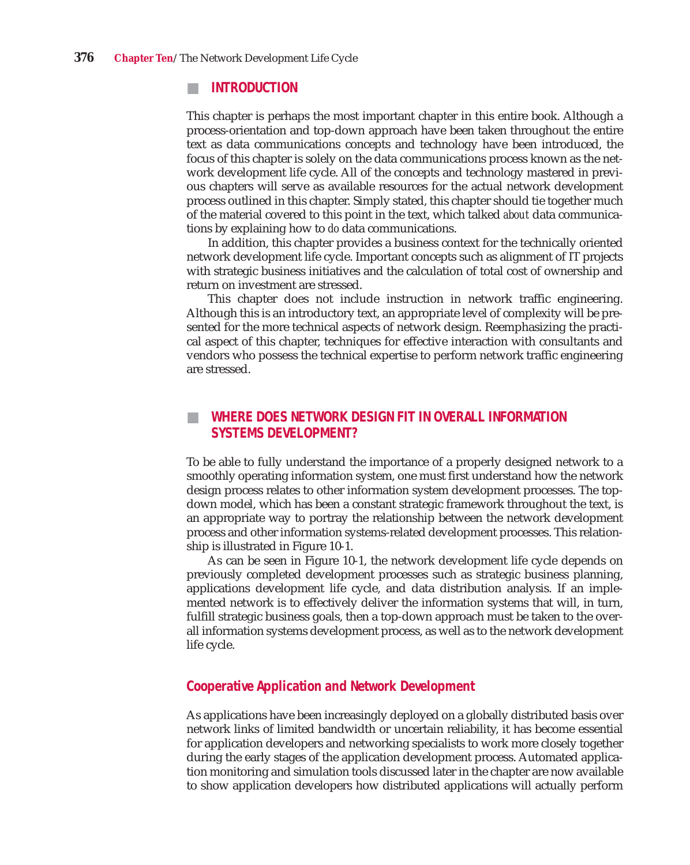# ■ **INTRODUCTION**

This chapter is perhaps the most important chapter in this entire book. Although a process-orientation and top-down approach have been taken throughout the entire text as data communications concepts and technology have been introduced, the focus of this chapter is solely on the data communications process known as the network development life cycle. All of the concepts and technology mastered in previous chapters will serve as available resources for the actual network development process outlined in this chapter. Simply stated, this chapter should tie together much of the material covered to this point in the text, which talked *about* data communications by explaining how to *do* data communications.

In addition, this chapter provides a business context for the technically oriented network development life cycle. Important concepts such as alignment of IT projects with strategic business initiatives and the calculation of total cost of ownership and return on investment are stressed.

This chapter does not include instruction in network traffic engineering. Although this is an introductory text, an appropriate level of complexity will be presented for the more technical aspects of network design. Reemphasizing the practical aspect of this chapter, techniques for effective interaction with consultants and vendors who possess the technical expertise to perform network traffic engineering are stressed.

# ■ **WHERE DOES NETWORK DESIGN FIT IN OVERALL INFORMATION SYSTEMS DEVELOPMENT?**

To be able to fully understand the importance of a properly designed network to a smoothly operating information system, one must first understand how the network design process relates to other information system development processes. The topdown model, which has been a constant strategic framework throughout the text, is an appropriate way to portray the relationship between the network development process and other information systems-related development processes. This relationship is illustrated in Figure 10-1.

As can be seen in Figure 10-1, the network development life cycle depends on previously completed development processes such as strategic business planning, applications development life cycle, and data distribution analysis. If an implemented network is to effectively deliver the information systems that will, in turn, fulfill strategic business goals, then a top-down approach must be taken to the overall information systems development process, as well as to the network development life cycle.

# **Cooperative Application and Network Development**

As applications have been increasingly deployed on a globally distributed basis over network links of limited bandwidth or uncertain reliability, it has become essential for application developers and networking specialists to work more closely together during the early stages of the application development process. Automated application monitoring and simulation tools discussed later in the chapter are now available to show application developers how distributed applications will actually perform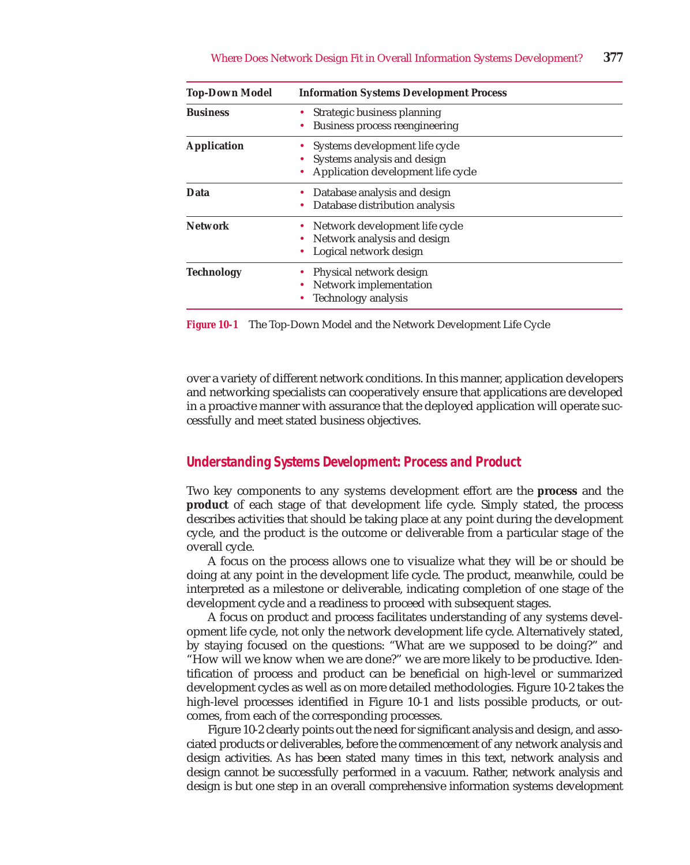| <b>Top-Down Model</b> | <b>Information Systems Development Process</b>                                                        |  |  |  |
|-----------------------|-------------------------------------------------------------------------------------------------------|--|--|--|
| <b>Business</b>       | Strategic business planning<br>Business process reengineering                                         |  |  |  |
| <b>Application</b>    | • Systems development life cycle<br>Systems analysis and design<br>Application development life cycle |  |  |  |
| Data                  | Database analysis and design<br>Database distribution analysis                                        |  |  |  |
| <b>Network</b>        | • Network development life cycle<br>Network analysis and design<br>Logical network design             |  |  |  |
| <b>Technology</b>     | Physical network design<br>Network implementation<br>Technology analysis                              |  |  |  |

*Figure 10-1* The Top-Down Model and the Network Development Life Cycle

over a variety of different network conditions. In this manner, application developers and networking specialists can cooperatively ensure that applications are developed in a proactive manner with assurance that the deployed application will operate successfully and meet stated business objectives.

# **Understanding Systems Development: Process and Product**

Two key components to any systems development effort are the **process** and the **product** of each stage of that development life cycle. Simply stated, the process describes activities that should be taking place at any point during the development cycle, and the product is the outcome or deliverable from a particular stage of the overall cycle.

A focus on the process allows one to visualize what they will be or should be doing at any point in the development life cycle. The product, meanwhile, could be interpreted as a milestone or deliverable, indicating completion of one stage of the development cycle and a readiness to proceed with subsequent stages.

A focus on product and process facilitates understanding of any systems development life cycle, not only the network development life cycle. Alternatively stated, by staying focused on the questions: "What are we supposed to be doing?" and "How will we know when we are done?" we are more likely to be productive. Identification of process and product can be beneficial on high-level or summarized development cycles as well as on more detailed methodologies. Figure 10-2 takes the high-level processes identified in Figure 10-1 and lists possible products, or outcomes, from each of the corresponding processes.

Figure 10-2 clearly points out the need for significant analysis and design, and associated products or deliverables, before the commencement of any network analysis and design activities. As has been stated many times in this text, network analysis and design cannot be successfully performed in a vacuum. Rather, network analysis and design is but one step in an overall comprehensive information systems development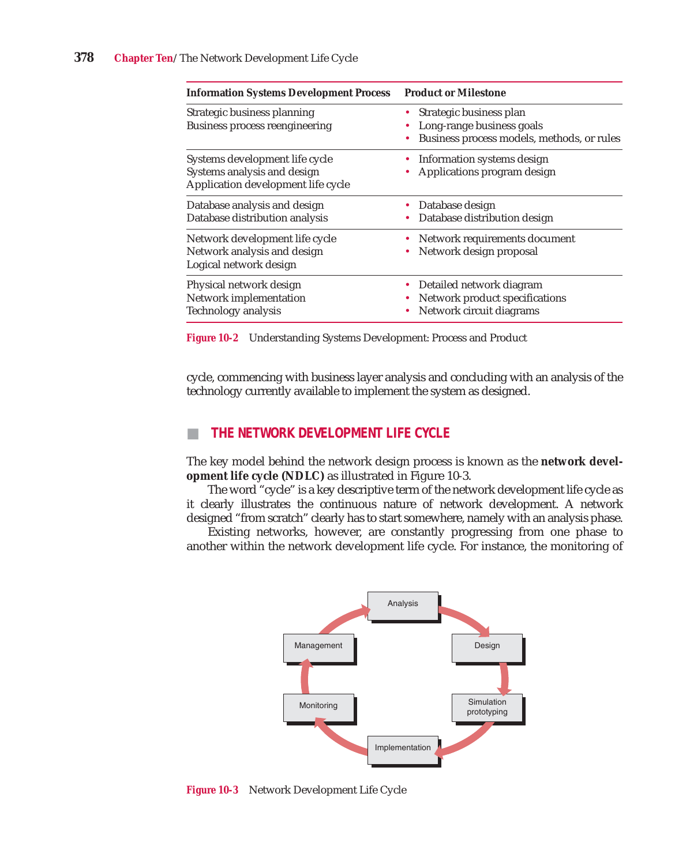| <b>Information Systems Development Process</b>                                                      | <b>Product or Milestone</b>                                                                        |  |  |
|-----------------------------------------------------------------------------------------------------|----------------------------------------------------------------------------------------------------|--|--|
| Strategic business planning<br>Business process reengineering                                       | Strategic business plan<br>Long-range business goals<br>Business process models, methods, or rules |  |  |
| Systems development life cycle<br>Systems analysis and design<br>Application development life cycle | Information systems design<br>Applications program design                                          |  |  |
| Database analysis and design<br>Database distribution analysis                                      | Database design<br>Database distribution design                                                    |  |  |
| Network development life cycle<br>Network analysis and design<br>Logical network design             | Network requirements document<br>Network design proposal                                           |  |  |
| Physical network design<br>Network implementation<br>Technology analysis                            | Detailed network diagram<br>Network product specifications<br>Network circuit diagrams             |  |  |

*Figure 10-2* Understanding Systems Development: Process and Product

cycle, commencing with business layer analysis and concluding with an analysis of the technology currently available to implement the system as designed.

# ■ **THE NETWORK DEVELOPMENT LIFE CYCLE**

The key model behind the network design process is known as the **network development life cycle (NDLC)** as illustrated in Figure 10-3.

The word "cycle" is a key descriptive term of the network development life cycle as it clearly illustrates the continuous nature of network development. A network designed "from scratch" clearly has to start somewhere, namely with an analysis phase.

Existing networks, however, are constantly progressing from one phase to another within the network development life cycle. For instance, the monitoring of



*Figure 10-3* Network Development Life Cycle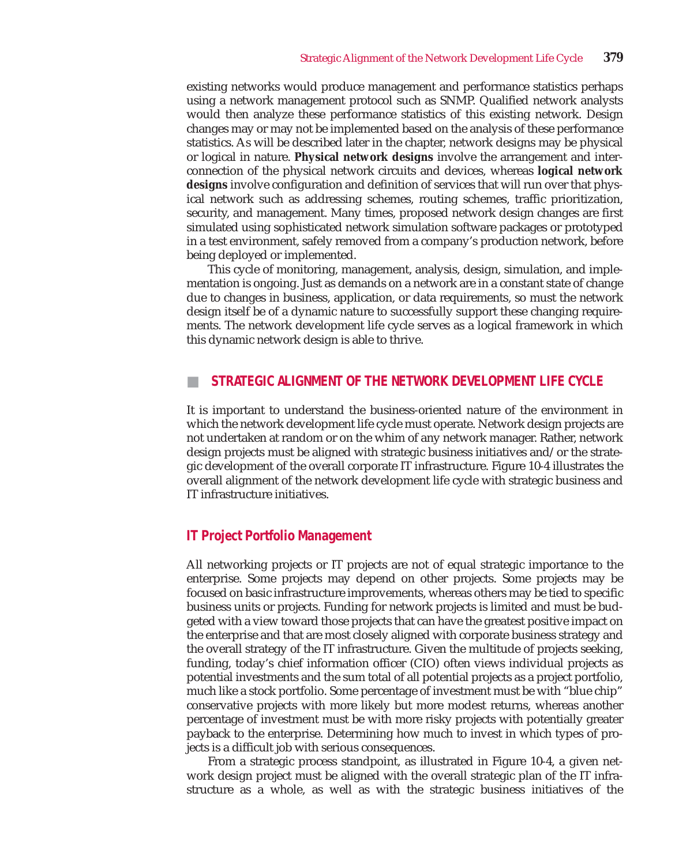existing networks would produce management and performance statistics perhaps using a network management protocol such as SNMP. Qualified network analysts would then analyze these performance statistics of this existing network. Design changes may or may not be implemented based on the analysis of these performance statistics. As will be described later in the chapter, network designs may be physical or logical in nature. **Physical network designs** involve the arrangement and interconnection of the physical network circuits and devices, whereas **logical network designs** involve configuration and definition of services that will run over that physical network such as addressing schemes, routing schemes, traffic prioritization, security, and management. Many times, proposed network design changes are first simulated using sophisticated network simulation software packages or prototyped in a test environment, safely removed from a company's production network, before being deployed or implemented.

This cycle of monitoring, management, analysis, design, simulation, and implementation is ongoing. Just as demands on a network are in a constant state of change due to changes in business, application, or data requirements, so must the network design itself be of a dynamic nature to successfully support these changing requirements. The network development life cycle serves as a logical framework in which this dynamic network design is able to thrive.

### ■ **STRATEGIC ALIGNMENT OF THE NETWORK DEVELOPMENT LIFE CYCLE**

It is important to understand the business-oriented nature of the environment in which the network development life cycle must operate. Network design projects are not undertaken at random or on the whim of any network manager. Rather, network design projects must be aligned with strategic business initiatives and/or the strategic development of the overall corporate IT infrastructure. Figure 10-4 illustrates the overall alignment of the network development life cycle with strategic business and IT infrastructure initiatives.

### **IT Project Portfolio Management**

All networking projects or IT projects are not of equal strategic importance to the enterprise. Some projects may depend on other projects. Some projects may be focused on basic infrastructure improvements, whereas others may be tied to specific business units or projects. Funding for network projects is limited and must be budgeted with a view toward those projects that can have the greatest positive impact on the enterprise and that are most closely aligned with corporate business strategy and the overall strategy of the IT infrastructure. Given the multitude of projects seeking, funding, today's chief information officer (CIO) often views individual projects as potential investments and the sum total of all potential projects as a project portfolio, much like a stock portfolio. Some percentage of investment must be with "blue chip" conservative projects with more likely but more modest returns, whereas another percentage of investment must be with more risky projects with potentially greater payback to the enterprise. Determining how much to invest in which types of projects is a difficult job with serious consequences.

From a strategic process standpoint, as illustrated in Figure 10-4, a given network design project must be aligned with the overall strategic plan of the IT infrastructure as a whole, as well as with the strategic business initiatives of the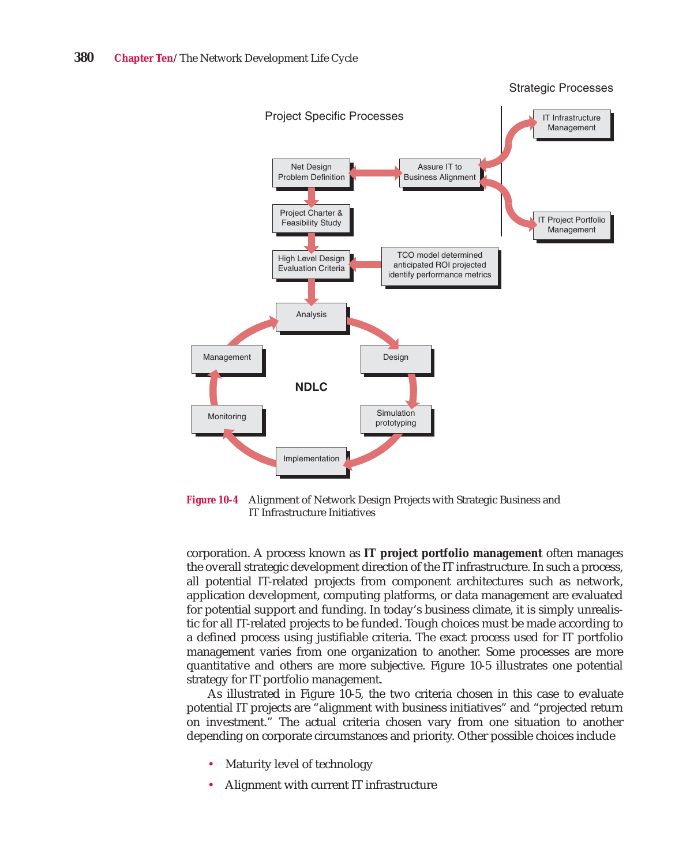

*Figure 10-4* Alignment of Network Design Projects with Strategic Business and IT Infrastructure Initiatives

corporation. A process known as **IT project portfolio management** often manages the overall strategic development direction of the IT infrastructure. In such a process, all potential IT-related projects from component architectures such as network, application development, computing platforms, or data management are evaluated for potential support and funding. In today's business climate, it is simply unrealistic for all IT-related projects to be funded. Tough choices must be made according to a defined process using justifiable criteria. The exact process used for IT portfolio management varies from one organization to another. Some processes are more quantitative and others are more subjective. Figure 10-5 illustrates one potential strategy for IT portfolio management.

As illustrated in Figure 10-5, the two criteria chosen in this case to evaluate potential IT projects are "alignment with business initiatives" and "projected return on investment." The actual criteria chosen vary from one situation to another depending on corporate circumstances and priority. Other possible choices include

- Maturity level of technology
- Alignment with current IT infrastructure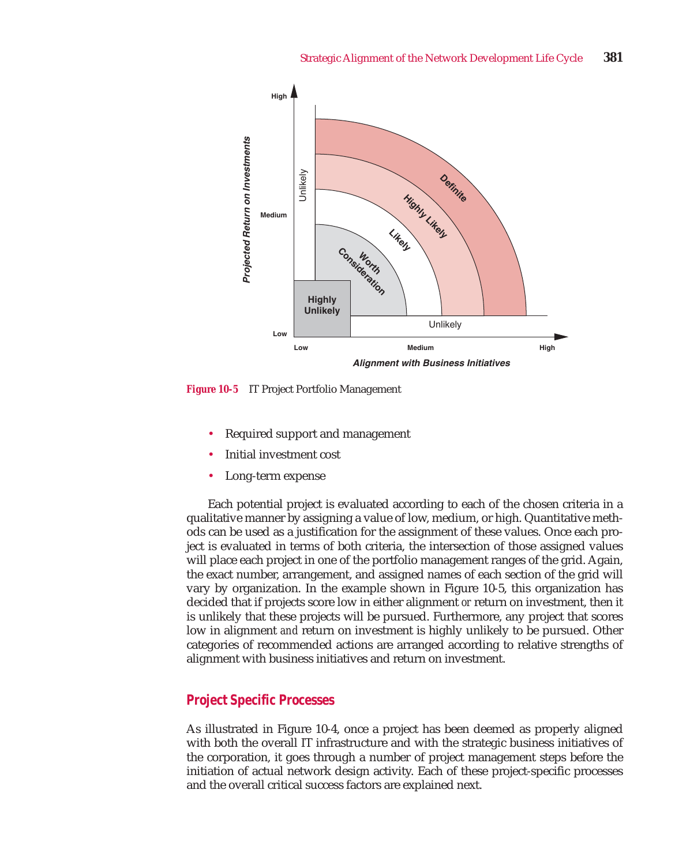

*Figure 10-5* IT Project Portfolio Management

- Required support and management
- Initial investment cost
- Long-term expense

Each potential project is evaluated according to each of the chosen criteria in a qualitative manner by assigning a value of low, medium, or high. Quantitative methods can be used as a justification for the assignment of these values. Once each project is evaluated in terms of both criteria, the intersection of those assigned values will place each project in one of the portfolio management ranges of the grid. Again, the exact number, arrangement, and assigned names of each section of the grid will vary by organization. In the example shown in Figure 10-5, this organization has decided that if projects score low in either alignment *or* return on investment, then it is unlikely that these projects will be pursued. Furthermore, any project that scores low in alignment *and* return on investment is highly unlikely to be pursued. Other categories of recommended actions are arranged according to relative strengths of alignment with business initiatives and return on investment.

# **Project Specific Processes**

As illustrated in Figure 10-4, once a project has been deemed as properly aligned with both the overall IT infrastructure and with the strategic business initiatives of the corporation, it goes through a number of project management steps before the initiation of actual network design activity. Each of these project-specific processes and the overall critical success factors are explained next.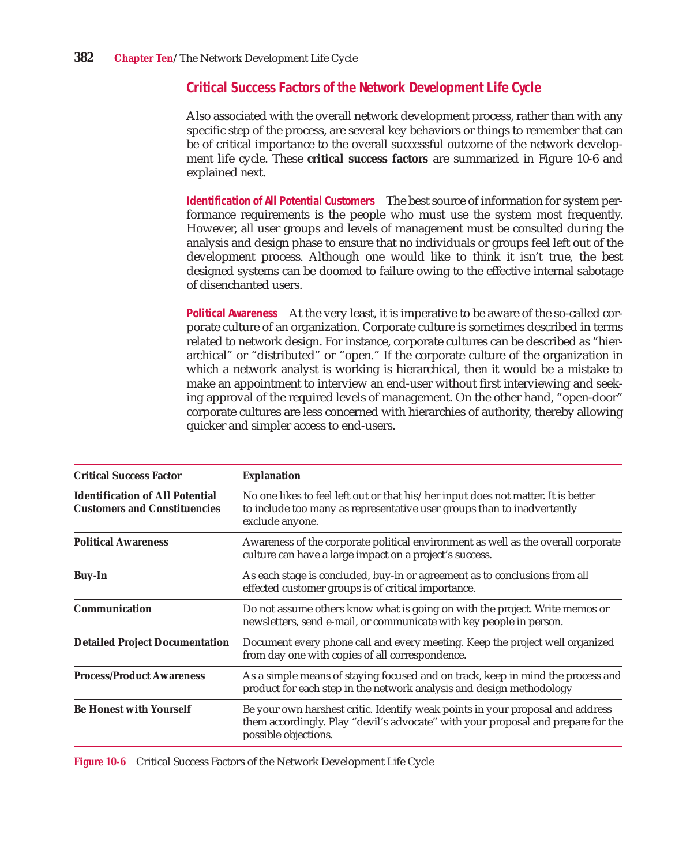# **Critical Success Factors of the Network Development Life Cycle**

Also associated with the overall network development process, rather than with any specific step of the process, are several key behaviors or things to remember that can be of critical importance to the overall successful outcome of the network development life cycle. These **critical success factors** are summarized in Figure 10-6 and explained next.

**Identification of All Potential Customers** The best source of information for system performance requirements is the people who must use the system most frequently. However, all user groups and levels of management must be consulted during the analysis and design phase to ensure that no individuals or groups feel left out of the development process. Although one would like to think it isn't true, the best designed systems can be doomed to failure owing to the effective internal sabotage of disenchanted users.

**Political Awareness** At the very least, it is imperative to be aware of the so-called corporate culture of an organization. Corporate culture is sometimes described in terms related to network design. For instance, corporate cultures can be described as "hierarchical" or "distributed" or "open." If the corporate culture of the organization in which a network analyst is working is hierarchical, then it would be a mistake to make an appointment to interview an end-user without first interviewing and seeking approval of the required levels of management. On the other hand, "open-door" corporate cultures are less concerned with hierarchies of authority, thereby allowing quicker and simpler access to end-users.

| <b>Critical Success Factor</b>                                                | <b>Explanation</b>                                                                                                                                                                         |
|-------------------------------------------------------------------------------|--------------------------------------------------------------------------------------------------------------------------------------------------------------------------------------------|
| <b>Identification of All Potential</b><br><b>Customers and Constituencies</b> | No one likes to feel left out or that his/her input does not matter. It is better<br>to include too many as representative user groups than to inadvertently<br>exclude anyone.            |
| <b>Political Awareness</b>                                                    | Awareness of the corporate political environment as well as the overall corporate<br>culture can have a large impact on a project's success.                                               |
| <b>Buy-In</b>                                                                 | As each stage is concluded, buy-in or agreement as to conclusions from all<br>effected customer groups is of critical importance.                                                          |
| Communication                                                                 | Do not assume others know what is going on with the project. Write memos or<br>newsletters, send e-mail, or communicate with key people in person.                                         |
| <b>Detailed Project Documentation</b>                                         | Document every phone call and every meeting. Keep the project well organized<br>from day one with copies of all correspondence.                                                            |
| <b>Process/Product Awareness</b>                                              | As a simple means of staying focused and on track, keep in mind the process and<br>product for each step in the network analysis and design methodology                                    |
| <b>Be Honest with Yourself</b>                                                | Be your own harshest critic. Identify weak points in your proposal and address<br>them accordingly. Play "devil's advocate" with your proposal and prepare for the<br>possible objections. |

*Figure 10-6* Critical Success Factors of the Network Development Life Cycle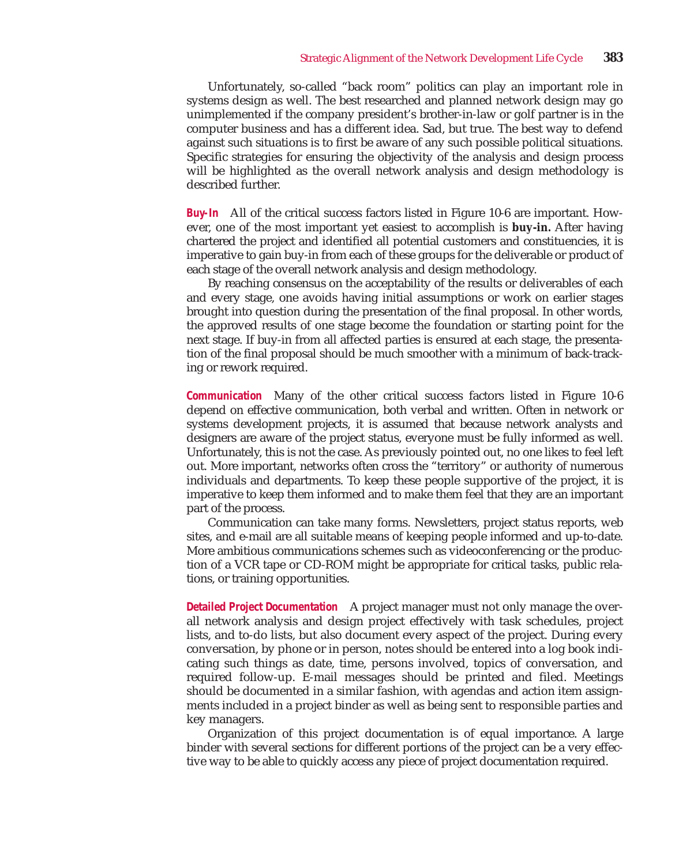Unfortunately, so-called "back room" politics can play an important role in systems design as well. The best researched and planned network design may go unimplemented if the company president's brother-in-law or golf partner is in the computer business and has a different idea. Sad, but true. The best way to defend against such situations is to first be aware of any such possible political situations. Specific strategies for ensuring the objectivity of the analysis and design process will be highlighted as the overall network analysis and design methodology is described further.

**Buy-In** All of the critical success factors listed in Figure 10-6 are important. However, one of the most important yet easiest to accomplish is **buy-in.** After having chartered the project and identified all potential customers and constituencies, it is imperative to gain buy-in from each of these groups for the deliverable or product of each stage of the overall network analysis and design methodology.

By reaching consensus on the acceptability of the results or deliverables of each and every stage, one avoids having initial assumptions or work on earlier stages brought into question during the presentation of the final proposal. In other words, the approved results of one stage become the foundation or starting point for the next stage. If buy-in from all affected parties is ensured at each stage, the presentation of the final proposal should be much smoother with a minimum of back-tracking or rework required.

**Communication** Many of the other critical success factors listed in Figure 10-6 depend on effective communication, both verbal and written. Often in network or systems development projects, it is assumed that because network analysts and designers are aware of the project status, everyone must be fully informed as well. Unfortunately, this is not the case. As previously pointed out, no one likes to feel left out. More important, networks often cross the "territory" or authority of numerous individuals and departments. To keep these people supportive of the project, it is imperative to keep them informed and to make them feel that they are an important part of the process.

Communication can take many forms. Newsletters, project status reports, web sites, and e-mail are all suitable means of keeping people informed and up-to-date. More ambitious communications schemes such as videoconferencing or the production of a VCR tape or CD-ROM might be appropriate for critical tasks, public relations, or training opportunities.

**Detailed Project Documentation** A project manager must not only manage the overall network analysis and design project effectively with task schedules, project lists, and to-do lists, but also document every aspect of the project. During every conversation, by phone or in person, notes should be entered into a log book indicating such things as date, time, persons involved, topics of conversation, and required follow-up. E-mail messages should be printed and filed. Meetings should be documented in a similar fashion, with agendas and action item assignments included in a project binder as well as being sent to responsible parties and key managers.

Organization of this project documentation is of equal importance. A large binder with several sections for different portions of the project can be a very effective way to be able to quickly access any piece of project documentation required.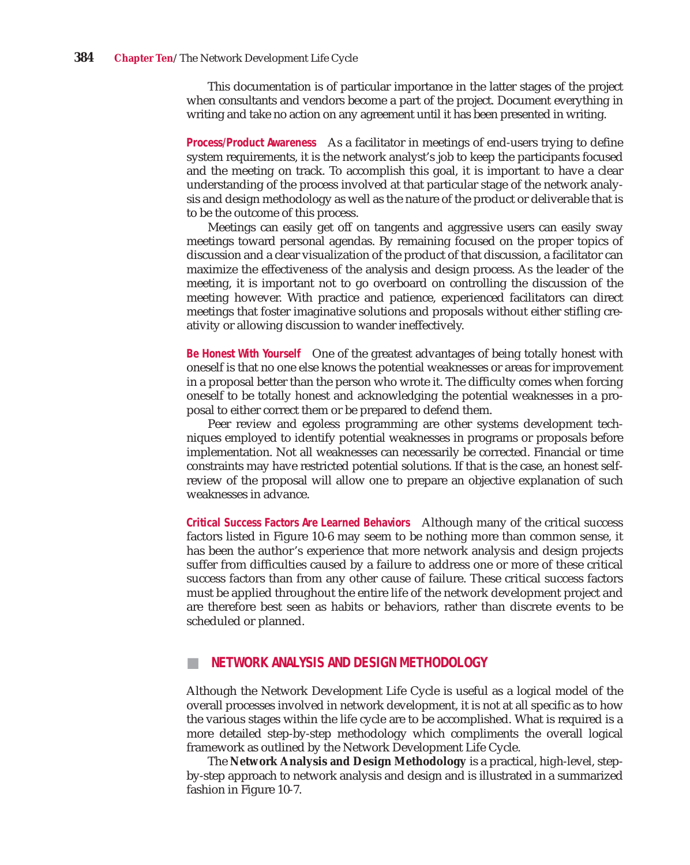This documentation is of particular importance in the latter stages of the project when consultants and vendors become a part of the project. Document everything in writing and take no action on any agreement until it has been presented in writing.

**Process/Product Awareness** As a facilitator in meetings of end-users trying to define system requirements, it is the network analyst's job to keep the participants focused and the meeting on track. To accomplish this goal, it is important to have a clear understanding of the process involved at that particular stage of the network analysis and design methodology as well as the nature of the product or deliverable that is to be the outcome of this process.

Meetings can easily get off on tangents and aggressive users can easily sway meetings toward personal agendas. By remaining focused on the proper topics of discussion and a clear visualization of the product of that discussion, a facilitator can maximize the effectiveness of the analysis and design process. As the leader of the meeting, it is important not to go overboard on controlling the discussion of the meeting however. With practice and patience, experienced facilitators can direct meetings that foster imaginative solutions and proposals without either stifling creativity or allowing discussion to wander ineffectively.

**Be Honest With Yourself** One of the greatest advantages of being totally honest with oneself is that no one else knows the potential weaknesses or areas for improvement in a proposal better than the person who wrote it. The difficulty comes when forcing oneself to be totally honest and acknowledging the potential weaknesses in a proposal to either correct them or be prepared to defend them.

Peer review and egoless programming are other systems development techniques employed to identify potential weaknesses in programs or proposals before implementation. Not all weaknesses can necessarily be corrected. Financial or time constraints may have restricted potential solutions. If that is the case, an honest selfreview of the proposal will allow one to prepare an objective explanation of such weaknesses in advance.

**Critical Success Factors Are Learned Behaviors** Although many of the critical success factors listed in Figure 10-6 may seem to be nothing more than common sense, it has been the author's experience that more network analysis and design projects suffer from difficulties caused by a failure to address one or more of these critical success factors than from any other cause of failure. These critical success factors must be applied throughout the entire life of the network development project and are therefore best seen as habits or behaviors, rather than discrete events to be scheduled or planned.

# ■ **NETWORK ANALYSIS AND DESIGN METHODOLOGY**

Although the Network Development Life Cycle is useful as a logical model of the overall processes involved in network development, it is not at all specific as to how the various stages within the life cycle are to be accomplished. What is required is a more detailed step-by-step methodology which compliments the overall logical framework as outlined by the Network Development Life Cycle.

The **Network Analysis and Design Methodology** is a practical, high-level, stepby-step approach to network analysis and design and is illustrated in a summarized fashion in Figure 10-7.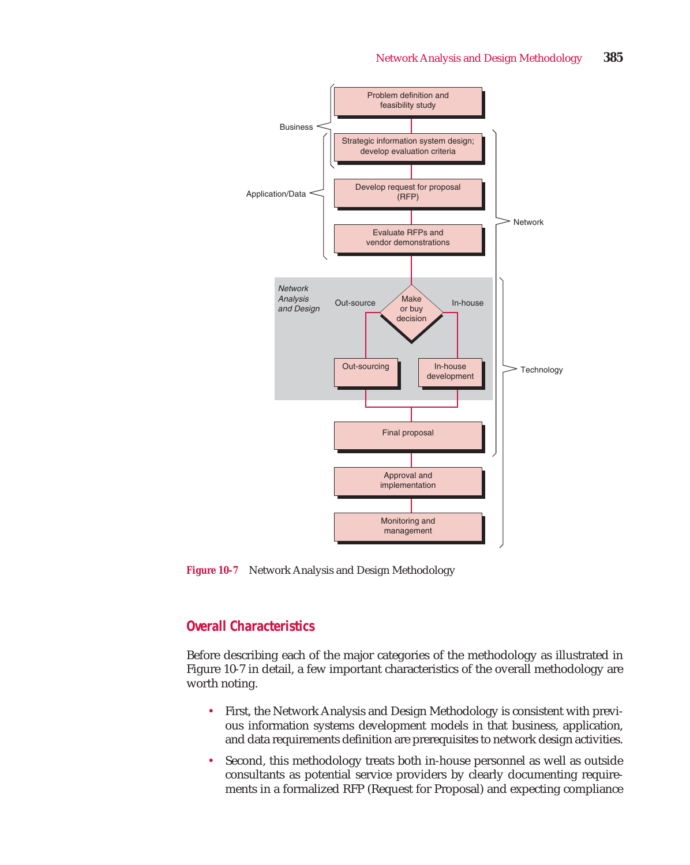

*Figure 10-7* Network Analysis and Design Methodology

# **Overall Characteristics**

Before describing each of the major categories of the methodology as illustrated in Figure 10-7 in detail, a few important characteristics of the overall methodology are worth noting.

- First, the Network Analysis and Design Methodology is consistent with previous information systems development models in that business, application, and data requirements definition are prerequisites to network design activities.
- Second, this methodology treats both in-house personnel as well as outside consultants as potential service providers by clearly documenting requirements in a formalized RFP (Request for Proposal) and expecting compliance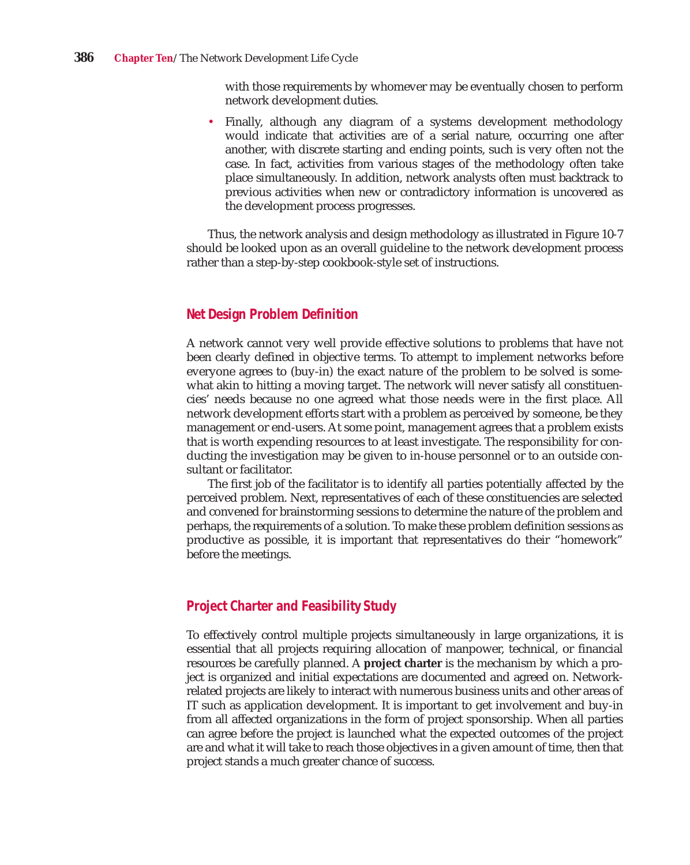with those requirements by whomever may be eventually chosen to perform network development duties.

• Finally, although any diagram of a systems development methodology would indicate that activities are of a serial nature, occurring one after another, with discrete starting and ending points, such is very often not the case. In fact, activities from various stages of the methodology often take place simultaneously. In addition, network analysts often must backtrack to previous activities when new or contradictory information is uncovered as the development process progresses.

Thus, the network analysis and design methodology as illustrated in Figure 10-7 should be looked upon as an overall guideline to the network development process rather than a step-by-step cookbook-style set of instructions.

### **Net Design Problem Definition**

A network cannot very well provide effective solutions to problems that have not been clearly defined in objective terms. To attempt to implement networks before everyone agrees to (buy-in) the exact nature of the problem to be solved is somewhat akin to hitting a moving target. The network will never satisfy all constituencies' needs because no one agreed what those needs were in the first place. All network development efforts start with a problem as perceived by someone, be they management or end-users. At some point, management agrees that a problem exists that is worth expending resources to at least investigate. The responsibility for conducting the investigation may be given to in-house personnel or to an outside consultant or facilitator.

The first job of the facilitator is to identify all parties potentially affected by the perceived problem. Next, representatives of each of these constituencies are selected and convened for brainstorming sessions to determine the nature of the problem and perhaps, the requirements of a solution. To make these problem definition sessions as productive as possible, it is important that representatives do their "homework" before the meetings.

# **Project Charter and Feasibility Study**

To effectively control multiple projects simultaneously in large organizations, it is essential that all projects requiring allocation of manpower, technical, or financial resources be carefully planned. A **project charter** is the mechanism by which a project is organized and initial expectations are documented and agreed on. Networkrelated projects are likely to interact with numerous business units and other areas of IT such as application development. It is important to get involvement and buy-in from all affected organizations in the form of project sponsorship. When all parties can agree before the project is launched what the expected outcomes of the project are and what it will take to reach those objectives in a given amount of time, then that project stands a much greater chance of success.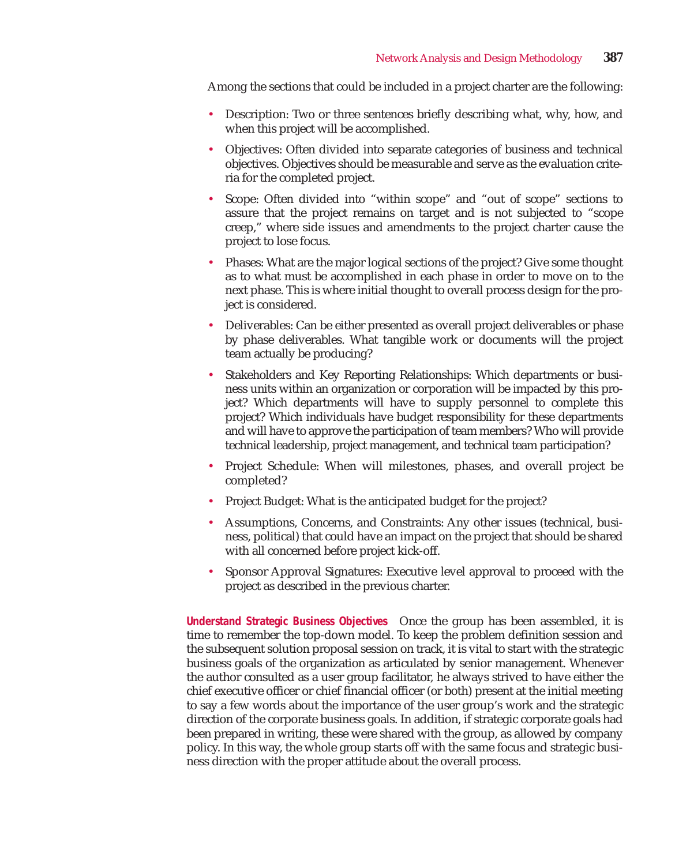Among the sections that could be included in a project charter are the following:

- Description: Two or three sentences briefly describing what, why, how, and when this project will be accomplished.
- Objectives: Often divided into separate categories of business and technical objectives. Objectives should be measurable and serve as the evaluation criteria for the completed project.
- Scope: Often divided into "within scope" and "out of scope" sections to assure that the project remains on target and is not subjected to "scope creep," where side issues and amendments to the project charter cause the project to lose focus.
- Phases: What are the major logical sections of the project? Give some thought as to what must be accomplished in each phase in order to move on to the next phase. This is where initial thought to overall process design for the project is considered.
- Deliverables: Can be either presented as overall project deliverables or phase by phase deliverables. What tangible work or documents will the project team actually be producing?
- Stakeholders and Key Reporting Relationships: Which departments or business units within an organization or corporation will be impacted by this project? Which departments will have to supply personnel to complete this project? Which individuals have budget responsibility for these departments and will have to approve the participation of team members? Who will provide technical leadership, project management, and technical team participation?
- Project Schedule: When will milestones, phases, and overall project be completed?
- Project Budget: What is the anticipated budget for the project?
- Assumptions, Concerns, and Constraints: Any other issues (technical, business, political) that could have an impact on the project that should be shared with all concerned before project kick-off.
- Sponsor Approval Signatures: Executive level approval to proceed with the project as described in the previous charter.

**Understand Strategic Business Objectives** Once the group has been assembled, it is time to remember the top-down model. To keep the problem definition session and the subsequent solution proposal session on track, it is vital to start with the strategic business goals of the organization as articulated by senior management. Whenever the author consulted as a user group facilitator, he always strived to have either the chief executive officer or chief financial officer (or both) present at the initial meeting to say a few words about the importance of the user group's work and the strategic direction of the corporate business goals. In addition, if strategic corporate goals had been prepared in writing, these were shared with the group, as allowed by company policy. In this way, the whole group starts off with the same focus and strategic business direction with the proper attitude about the overall process.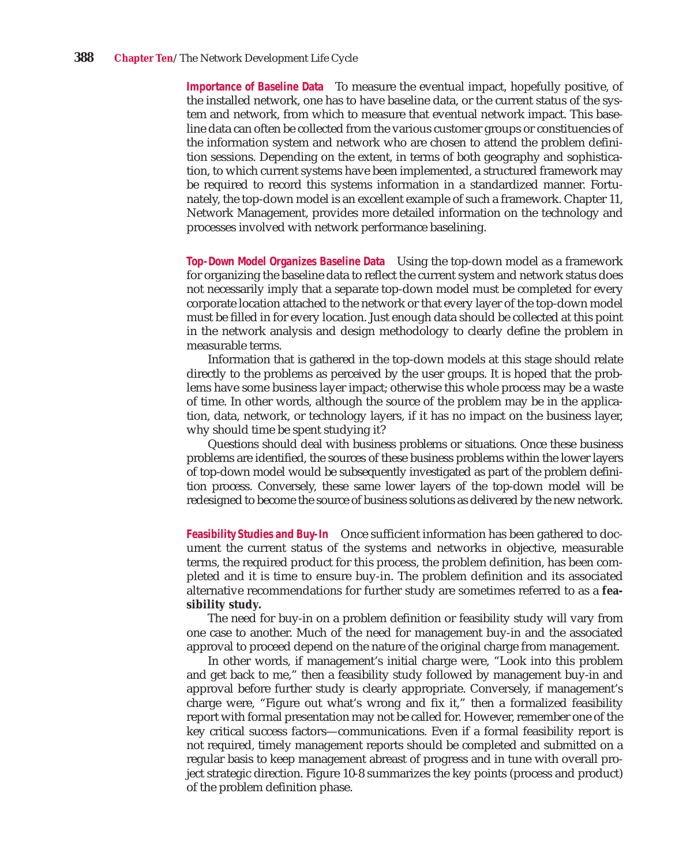**Importance of Baseline Data** To measure the eventual impact, hopefully positive, of the installed network, one has to have baseline data, or the current status of the system and network, from which to measure that eventual network impact. This baseline data can often be collected from the various customer groups or constituencies of the information system and network who are chosen to attend the problem definition sessions. Depending on the extent, in terms of both geography and sophistication, to which current systems have been implemented, a structured framework may be required to record this systems information in a standardized manner. Fortunately, the top-down model is an excellent example of such a framework. Chapter 11, Network Management, provides more detailed information on the technology and processes involved with network performance baselining.

**Top-Down Model Organizes Baseline Data** Using the top-down model as a framework for organizing the baseline data to reflect the current system and network status does not necessarily imply that a separate top-down model must be completed for every corporate location attached to the network or that every layer of the top-down model must be filled in for every location. Just enough data should be collected at this point in the network analysis and design methodology to clearly define the problem in measurable terms.

Information that is gathered in the top-down models at this stage should relate directly to the problems as perceived by the user groups. It is hoped that the problems have some business layer impact; otherwise this whole process may be a waste of time. In other words, although the source of the problem may be in the application, data, network, or technology layers, if it has no impact on the business layer, why should time be spent studying it?

Questions should deal with business problems or situations. Once these business problems are identified, the sources of these business problems within the lower layers of top-down model would be subsequently investigated as part of the problem definition process. Conversely, these same lower layers of the top-down model will be redesigned to become the source of business solutions as delivered by the new network.

**Feasibility Studies and Buy-In** Once sufficient information has been gathered to document the current status of the systems and networks in objective, measurable terms, the required product for this process, the problem definition, has been completed and it is time to ensure buy-in. The problem definition and its associated alternative recommendations for further study are sometimes referred to as a **feasibility study.**

The need for buy-in on a problem definition or feasibility study will vary from one case to another. Much of the need for management buy-in and the associated approval to proceed depend on the nature of the original charge from management.

In other words, if management's initial charge were, "Look into this problem and get back to me," then a feasibility study followed by management buy-in and approval before further study is clearly appropriate. Conversely, if management's charge were, "Figure out what's wrong and fix it," then a formalized feasibility report with formal presentation may not be called for. However, remember one of the key critical success factors—communications. Even if a formal feasibility report is not required, timely management reports should be completed and submitted on a regular basis to keep management abreast of progress and in tune with overall project strategic direction. Figure 10-8 summarizes the key points (process and product) of the problem definition phase.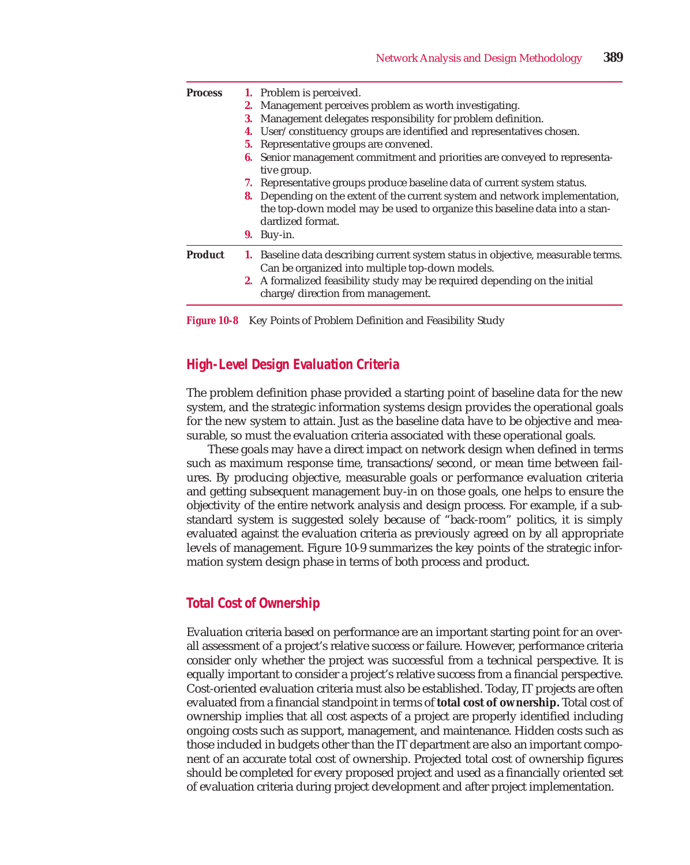| <b>Process</b> | 1. Problem is perceived.                                                                                                                                                       |
|----------------|--------------------------------------------------------------------------------------------------------------------------------------------------------------------------------|
|                | Management perceives problem as worth investigating.                                                                                                                           |
|                | 3. Management delegates responsibility for problem definition.                                                                                                                 |
|                | User/constituency groups are identified and representatives chosen.<br>4.                                                                                                      |
|                | <b>5.</b> Representative groups are convened.                                                                                                                                  |
|                | 6. Senior management commitment and priorities are conveyed to representa-<br>tive group.                                                                                      |
|                | 7. Representative groups produce baseline data of current system status.                                                                                                       |
|                | 8. Depending on the extent of the current system and network implementation,<br>the top-down model may be used to organize this baseline data into a stan-<br>dardized format. |
|                | $9.$ Buy-in.                                                                                                                                                                   |
| <b>Product</b> | 1. Baseline data describing current system status in objective, measurable terms.<br>Can be organized into multiple top-down models.                                           |
|                | 2. A formalized feasibility study may be required depending on the initial<br>charge/direction from management.                                                                |

*Figure 10-8* Key Points of Problem Definition and Feasibility Study

# **High-Level Design Evaluation Criteria**

The problem definition phase provided a starting point of baseline data for the new system, and the strategic information systems design provides the operational goals for the new system to attain. Just as the baseline data have to be objective and measurable, so must the evaluation criteria associated with these operational goals.

These goals may have a direct impact on network design when defined in terms such as maximum response time, transactions/second, or mean time between failures. By producing objective, measurable goals or performance evaluation criteria and getting subsequent management buy-in on those goals, one helps to ensure the objectivity of the entire network analysis and design process. For example, if a substandard system is suggested solely because of "back-room" politics, it is simply evaluated against the evaluation criteria as previously agreed on by all appropriate levels of management. Figure 10-9 summarizes the key points of the strategic information system design phase in terms of both process and product.

### **Total Cost of Ownership**

Evaluation criteria based on performance are an important starting point for an overall assessment of a project's relative success or failure. However, performance criteria consider only whether the project was successful from a technical perspective. It is equally important to consider a project's relative success from a financial perspective. Cost-oriented evaluation criteria must also be established. Today, IT projects are often evaluated from a financial standpoint in terms of **total cost of ownership.** Total cost of ownership implies that all cost aspects of a project are properly identified including ongoing costs such as support, management, and maintenance. Hidden costs such as those included in budgets other than the IT department are also an important component of an accurate total cost of ownership. Projected total cost of ownership figures should be completed for every proposed project and used as a financially oriented set of evaluation criteria during project development and after project implementation.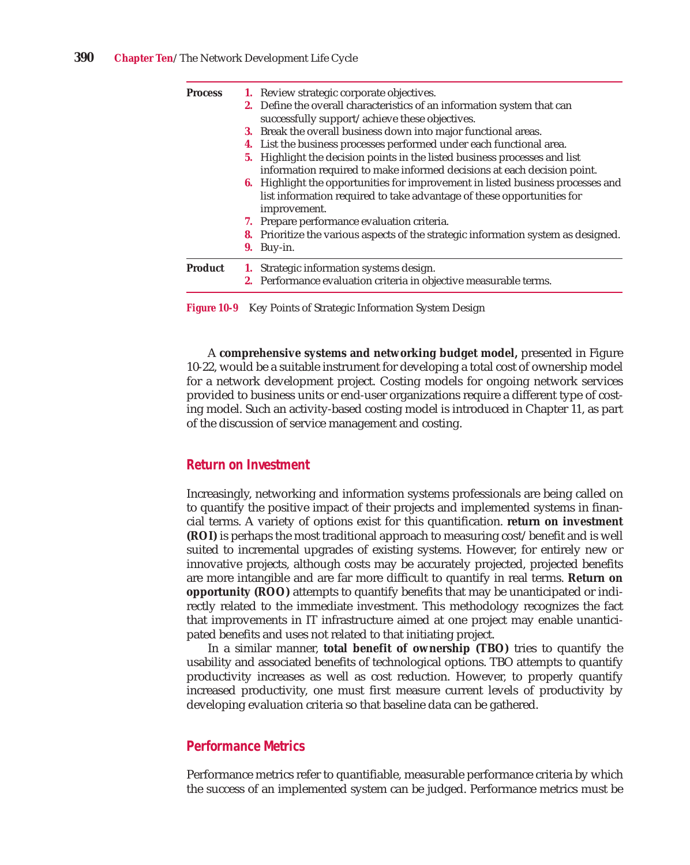| Process |    | 1. Review strategic corporate objectives.                                                                                                                                        |
|---------|----|----------------------------------------------------------------------------------------------------------------------------------------------------------------------------------|
|         |    | 2. Define the overall characteristics of an information system that can<br>successfully support/achieve these objectives.                                                        |
|         |    | 3. Break the overall business down into major functional areas.                                                                                                                  |
|         | 4. | List the business processes performed under each functional area.                                                                                                                |
|         |    | <b>5.</b> Highlight the decision points in the listed business processes and list<br>information required to make informed decisions at each decision point.                     |
|         |    | <b>6.</b> Highlight the opportunities for improvement in listed business processes and<br>list information required to take advantage of these opportunities for<br>improvement. |
|         |    | 7. Prepare performance evaluation criteria.                                                                                                                                      |
|         |    | <b>8.</b> Prioritize the various aspects of the strategic information system as designed.                                                                                        |
|         |    | $9.$ Buy-in.                                                                                                                                                                     |
| Product |    | 1. Strategic information systems design.                                                                                                                                         |
|         |    | 2. Performance evaluation criteria in objective measurable terms.                                                                                                                |

*Figure 10-9* Key Points of Strategic Information System Design

A **comprehensive systems and networking budget model,** presented in Figure 10-22, would be a suitable instrument for developing a total cost of ownership model for a network development project. Costing models for ongoing network services provided to business units or end-user organizations require a different type of costing model. Such an activity-based costing model is introduced in Chapter 11, as part of the discussion of service management and costing.

### **Return on Investment**

Increasingly, networking and information systems professionals are being called on to quantify the positive impact of their projects and implemented systems in financial terms. A variety of options exist for this quantification. **return on investment (ROI)** is perhaps the most traditional approach to measuring cost/benefit and is well suited to incremental upgrades of existing systems. However, for entirely new or innovative projects, although costs may be accurately projected, projected benefits are more intangible and are far more difficult to quantify in real terms. **Return on opportunity (ROO)** attempts to quantify benefits that may be unanticipated or indirectly related to the immediate investment. This methodology recognizes the fact that improvements in IT infrastructure aimed at one project may enable unanticipated benefits and uses not related to that initiating project.

In a similar manner, **total benefit of ownership (TBO)** tries to quantify the usability and associated benefits of technological options. TBO attempts to quantify productivity increases as well as cost reduction. However, to properly quantify increased productivity, one must first measure current levels of productivity by developing evaluation criteria so that baseline data can be gathered.

# **Performance Metrics**

Performance metrics refer to quantifiable, measurable performance criteria by which the success of an implemented system can be judged. Performance metrics must be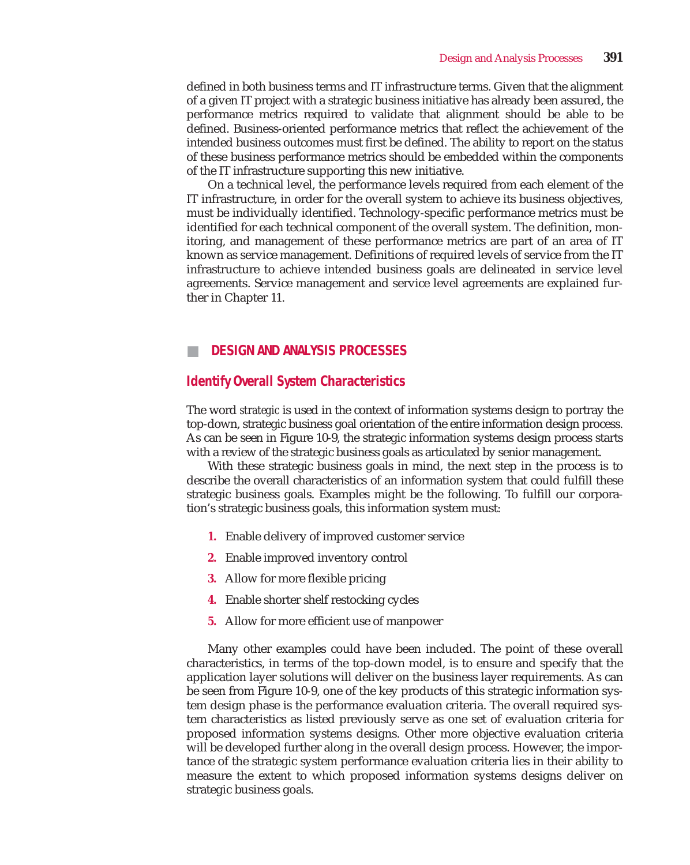defined in both business terms and IT infrastructure terms. Given that the alignment of a given IT project with a strategic business initiative has already been assured, the performance metrics required to validate that alignment should be able to be defined. Business-oriented performance metrics that reflect the achievement of the intended business outcomes must first be defined. The ability to report on the status of these business performance metrics should be embedded within the components of the IT infrastructure supporting this new initiative.

On a technical level, the performance levels required from each element of the IT infrastructure, in order for the overall system to achieve its business objectives, must be individually identified. Technology-specific performance metrics must be identified for each technical component of the overall system. The definition, monitoring, and management of these performance metrics are part of an area of IT known as service management. Definitions of required levels of service from the IT infrastructure to achieve intended business goals are delineated in service level agreements. Service management and service level agreements are explained further in Chapter 11.

# **DESIGN AND ANALYSIS PROCESSES**

### **Identify Overall System Characteristics**

The word *strategic* is used in the context of information systems design to portray the top-down, strategic business goal orientation of the entire information design process. As can be seen in Figure 10-9, the strategic information systems design process starts with a review of the strategic business goals as articulated by senior management.

With these strategic business goals in mind, the next step in the process is to describe the overall characteristics of an information system that could fulfill these strategic business goals. Examples might be the following. To fulfill our corporation's strategic business goals, this information system must:

- **1.** Enable delivery of improved customer service
- **2.** Enable improved inventory control
- **3.** Allow for more flexible pricing
- **4.** Enable shorter shelf restocking cycles
- **5.** Allow for more efficient use of manpower

Many other examples could have been included. The point of these overall characteristics, in terms of the top-down model, is to ensure and specify that the application layer solutions will deliver on the business layer requirements. As can be seen from Figure 10-9, one of the key products of this strategic information system design phase is the performance evaluation criteria. The overall required system characteristics as listed previously serve as one set of evaluation criteria for proposed information systems designs. Other more objective evaluation criteria will be developed further along in the overall design process. However, the importance of the strategic system performance evaluation criteria lies in their ability to measure the extent to which proposed information systems designs deliver on strategic business goals.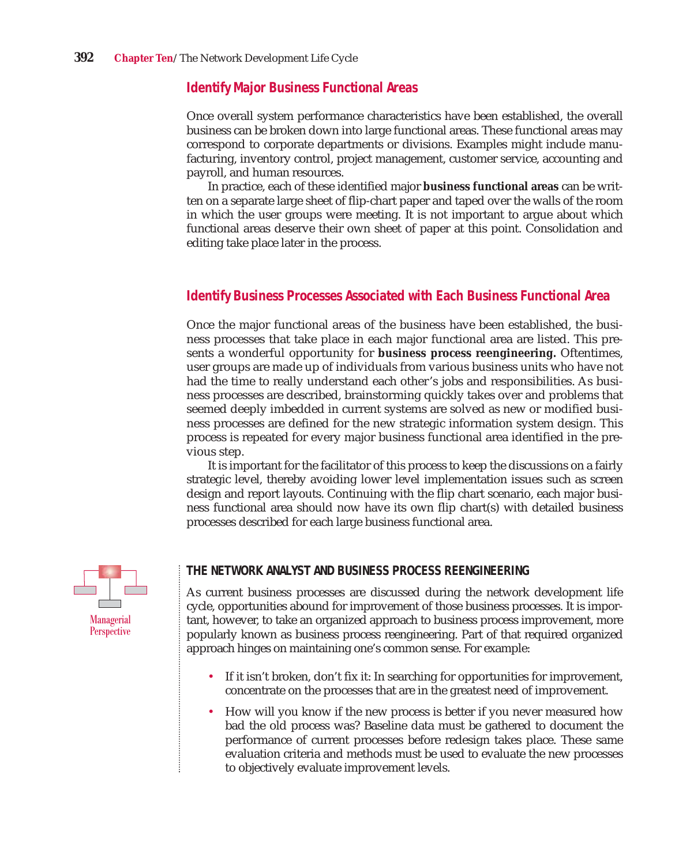# **Identify Major Business Functional Areas**

Once overall system performance characteristics have been established, the overall business can be broken down into large functional areas. These functional areas may correspond to corporate departments or divisions. Examples might include manufacturing, inventory control, project management, customer service, accounting and payroll, and human resources.

In practice, each of these identified major **business functional areas** can be written on a separate large sheet of flip-chart paper and taped over the walls of the room in which the user groups were meeting. It is not important to argue about which functional areas deserve their own sheet of paper at this point. Consolidation and editing take place later in the process.

# **Identify Business Processes Associated with Each Business Functional Area**

Once the major functional areas of the business have been established, the business processes that take place in each major functional area are listed. This presents a wonderful opportunity for **business process reengineering.** Oftentimes, user groups are made up of individuals from various business units who have not had the time to really understand each other's jobs and responsibilities. As business processes are described, brainstorming quickly takes over and problems that seemed deeply imbedded in current systems are solved as new or modified business processes are defined for the new strategic information system design. This process is repeated for every major business functional area identified in the previous step.

It is important for the facilitator of this process to keep the discussions on a fairly strategic level, thereby avoiding lower level implementation issues such as screen design and report layouts. Continuing with the flip chart scenario, each major business functional area should now have its own flip chart(s) with detailed business processes described for each large business functional area.



### **THE NETWORK ANALYST AND BUSINESS PROCESS REENGINEERING**

As current business processes are discussed during the network development life cycle, opportunities abound for improvement of those business processes. It is important, however, to take an organized approach to business process improvement, more popularly known as business process reengineering. Part of that required organized approach hinges on maintaining one's common sense. For example:

- If it isn't broken, don't fix it: In searching for opportunities for improvement, concentrate on the processes that are in the greatest need of improvement.
- How will you know if the new process is better if you never measured how bad the old process was? Baseline data must be gathered to document the performance of current processes before redesign takes place. These same evaluation criteria and methods must be used to evaluate the new processes to objectively evaluate improvement levels.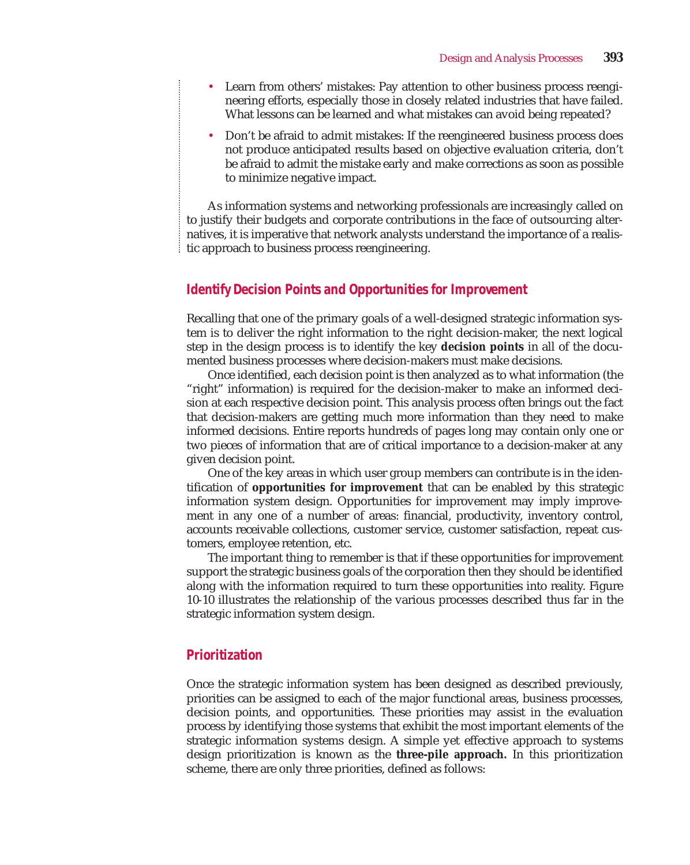- Learn from others' mistakes: Pay attention to other business process reengineering efforts, especially those in closely related industries that have failed. What lessons can be learned and what mistakes can avoid being repeated?
- Don't be afraid to admit mistakes: If the reengineered business process does not produce anticipated results based on objective evaluation criteria, don't be afraid to admit the mistake early and make corrections as soon as possible to minimize negative impact.

As information systems and networking professionals are increasingly called on to justify their budgets and corporate contributions in the face of outsourcing alternatives, it is imperative that network analysts understand the importance of a realistic approach to business process reengineering.

# **Identify Decision Points and Opportunities for Improvement**

Recalling that one of the primary goals of a well-designed strategic information system is to deliver the right information to the right decision-maker, the next logical step in the design process is to identify the key **decision points** in all of the documented business processes where decision-makers must make decisions.

Once identified, each decision point is then analyzed as to what information (the "right" information) is required for the decision-maker to make an informed decision at each respective decision point. This analysis process often brings out the fact that decision-makers are getting much more information than they need to make informed decisions. Entire reports hundreds of pages long may contain only one or two pieces of information that are of critical importance to a decision-maker at any given decision point.

One of the key areas in which user group members can contribute is in the identification of **opportunities for improvement** that can be enabled by this strategic information system design. Opportunities for improvement may imply improvement in any one of a number of areas: financial, productivity, inventory control, accounts receivable collections, customer service, customer satisfaction, repeat customers, employee retention, etc.

The important thing to remember is that if these opportunities for improvement support the strategic business goals of the corporation then they should be identified along with the information required to turn these opportunities into reality. Figure 10-10 illustrates the relationship of the various processes described thus far in the strategic information system design.

### **Prioritization**

Once the strategic information system has been designed as described previously, priorities can be assigned to each of the major functional areas, business processes, decision points, and opportunities. These priorities may assist in the evaluation process by identifying those systems that exhibit the most important elements of the strategic information systems design. A simple yet effective approach to systems design prioritization is known as the **three-pile approach.** In this prioritization scheme, there are only three priorities, defined as follows: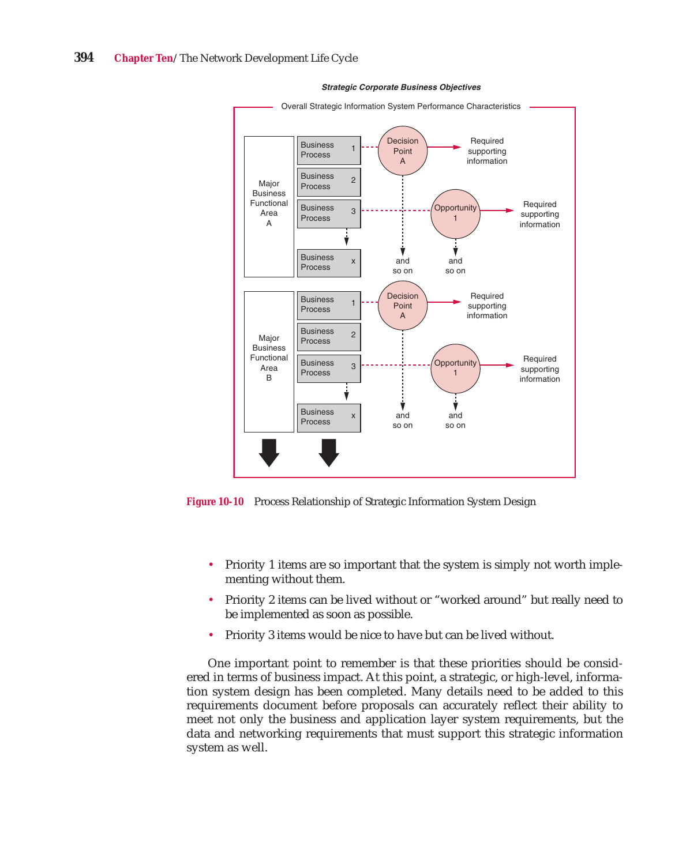

#### *Strategic Corporate Business Objectives*

**Figure 10-10** Process Relationship of Strategic Information System Design

- Priority 1 items are so important that the system is simply not worth implementing without them.
- Priority 2 items can be lived without or "worked around" but really need to be implemented as soon as possible.
- Priority 3 items would be nice to have but can be lived without.

One important point to remember is that these priorities should be considered in terms of business impact. At this point, a strategic, or high-level, information system design has been completed. Many details need to be added to this requirements document before proposals can accurately reflect their ability to meet not only the business and application layer system requirements, but the data and networking requirements that must support this strategic information system as well.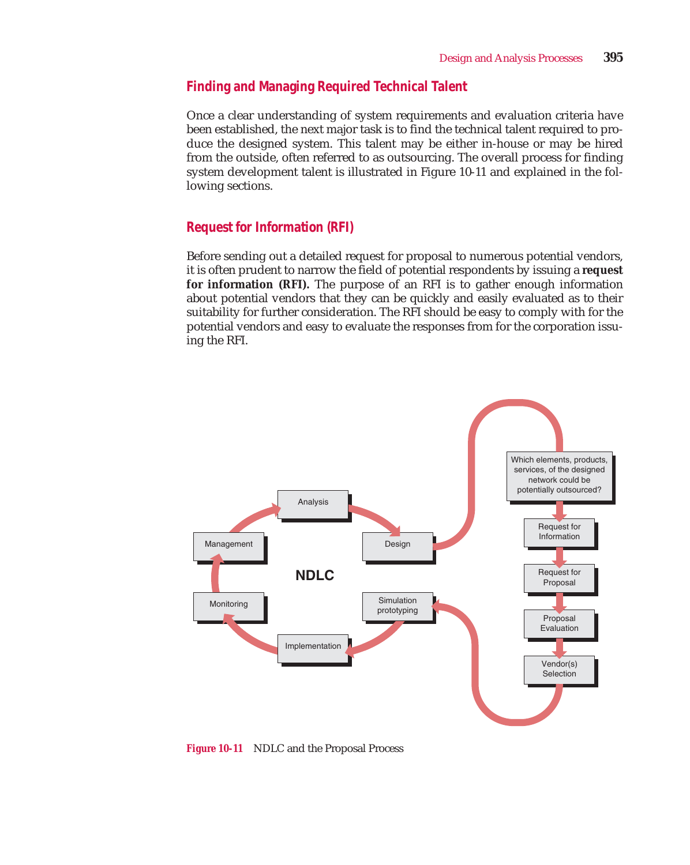# **Finding and Managing Required Technical Talent**

Once a clear understanding of system requirements and evaluation criteria have been established, the next major task is to find the technical talent required to produce the designed system. This talent may be either in-house or may be hired from the outside, often referred to as outsourcing. The overall process for finding system development talent is illustrated in Figure 10-11 and explained in the following sections.

### **Request for Information (RFI)**

Before sending out a detailed request for proposal to numerous potential vendors, it is often prudent to narrow the field of potential respondents by issuing a **request for information (RFI).** The purpose of an RFI is to gather enough information about potential vendors that they can be quickly and easily evaluated as to their suitability for further consideration. The RFI should be easy to comply with for the potential vendors and easy to evaluate the responses from for the corporation issuing the RFI.



*Figure 10-11* NDLC and the Proposal Process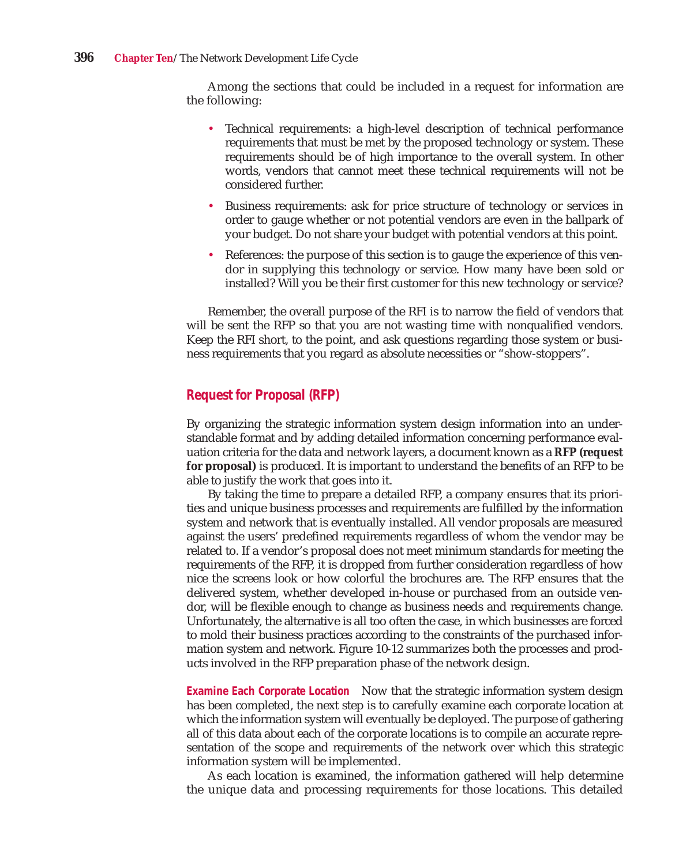Among the sections that could be included in a request for information are the following:

- Technical requirements: a high-level description of technical performance requirements that must be met by the proposed technology or system. These requirements should be of high importance to the overall system. In other words, vendors that cannot meet these technical requirements will not be considered further.
- Business requirements: ask for price structure of technology or services in order to gauge whether or not potential vendors are even in the ballpark of your budget. Do not share your budget with potential vendors at this point.
- References: the purpose of this section is to gauge the experience of this vendor in supplying this technology or service. How many have been sold or installed? Will you be their first customer for this new technology or service?

Remember, the overall purpose of the RFI is to narrow the field of vendors that will be sent the RFP so that you are not wasting time with nonqualified vendors. Keep the RFI short, to the point, and ask questions regarding those system or business requirements that you regard as absolute necessities or "show-stoppers".

### **Request for Proposal (RFP)**

By organizing the strategic information system design information into an understandable format and by adding detailed information concerning performance evaluation criteria for the data and network layers, a document known as a **RFP (request for proposal)** is produced. It is important to understand the benefits of an RFP to be able to justify the work that goes into it.

By taking the time to prepare a detailed RFP, a company ensures that its priorities and unique business processes and requirements are fulfilled by the information system and network that is eventually installed. All vendor proposals are measured against the users' predefined requirements regardless of whom the vendor may be related to. If a vendor's proposal does not meet minimum standards for meeting the requirements of the RFP, it is dropped from further consideration regardless of how nice the screens look or how colorful the brochures are. The RFP ensures that the delivered system, whether developed in-house or purchased from an outside vendor, will be flexible enough to change as business needs and requirements change. Unfortunately, the alternative is all too often the case, in which businesses are forced to mold their business practices according to the constraints of the purchased information system and network. Figure 10-12 summarizes both the processes and products involved in the RFP preparation phase of the network design.

**Examine Each Corporate Location** Now that the strategic information system design has been completed, the next step is to carefully examine each corporate location at which the information system will eventually be deployed. The purpose of gathering all of this data about each of the corporate locations is to compile an accurate representation of the scope and requirements of the network over which this strategic information system will be implemented.

As each location is examined, the information gathered will help determine the unique data and processing requirements for those locations. This detailed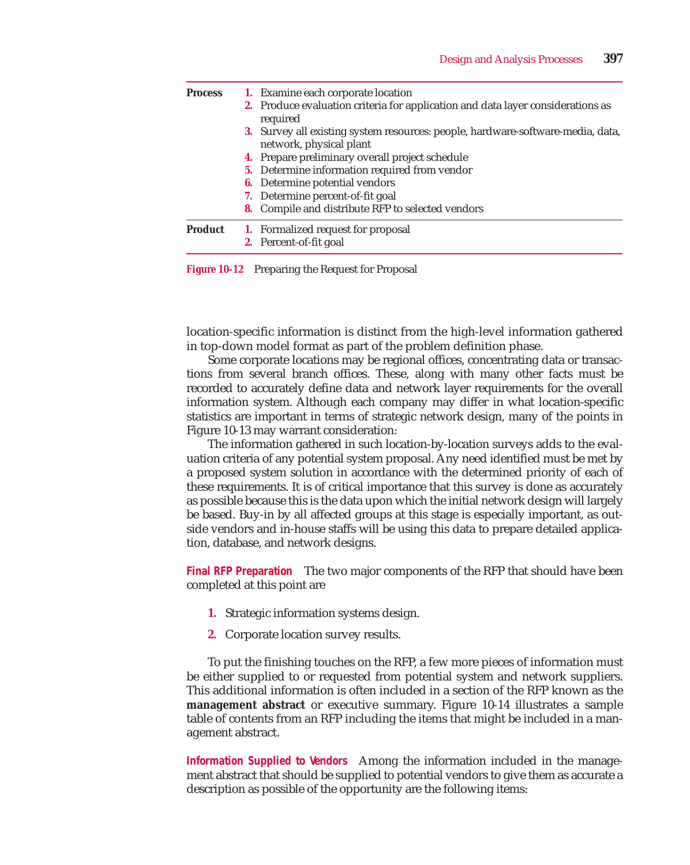| <b>Process</b> | 1. Examine each corporate location                                                     |
|----------------|----------------------------------------------------------------------------------------|
|                | 2. Produce evaluation criteria for application and data layer considerations as        |
|                | required                                                                               |
|                | <b>3.</b> Survey all existing system resources: people, hardware-software-media, data, |
|                | network, physical plant                                                                |
|                | 4. Prepare preliminary overall project schedule                                        |
|                | <b>5.</b> Determine information required from vendor                                   |
|                | <b>6.</b> Determine potential vendors                                                  |
|                | 7. Determine percent-of-fit goal                                                       |
|                | 8. Compile and distribute RFP to selected vendors                                      |
| <b>Product</b> | <b>1.</b> Formalized request for proposal                                              |
|                | <b>2.</b> Percent-of-fit goal                                                          |

**Figure 10-12** Preparing the Request for Proposal

location-specific information is distinct from the high-level information gathered in top-down model format as part of the problem definition phase.

Some corporate locations may be regional offices, concentrating data or transactions from several branch offices. These, along with many other facts must be recorded to accurately define data and network layer requirements for the overall information system. Although each company may differ in what location-specific statistics are important in terms of strategic network design, many of the points in Figure 10-13 may warrant consideration:

The information gathered in such location-by-location surveys adds to the evaluation criteria of any potential system proposal. Any need identified must be met by a proposed system solution in accordance with the determined priority of each of these requirements. It is of critical importance that this survey is done as accurately as possible because this is the data upon which the initial network design will largely be based. Buy-in by all affected groups at this stage is especially important, as outside vendors and in-house staffs will be using this data to prepare detailed application, database, and network designs.

**Final RFP Preparation** The two major components of the RFP that should have been completed at this point are

- **1.** Strategic information systems design.
- **2.** Corporate location survey results.

To put the finishing touches on the RFP, a few more pieces of information must be either supplied to or requested from potential system and network suppliers. This additional information is often included in a section of the RFP known as the **management abstract** or executive summary. Figure 10-14 illustrates a sample table of contents from an RFP including the items that might be included in a management abstract.

**Information Supplied to Vendors** Among the information included in the management abstract that should be supplied to potential vendors to give them as accurate a description as possible of the opportunity are the following items: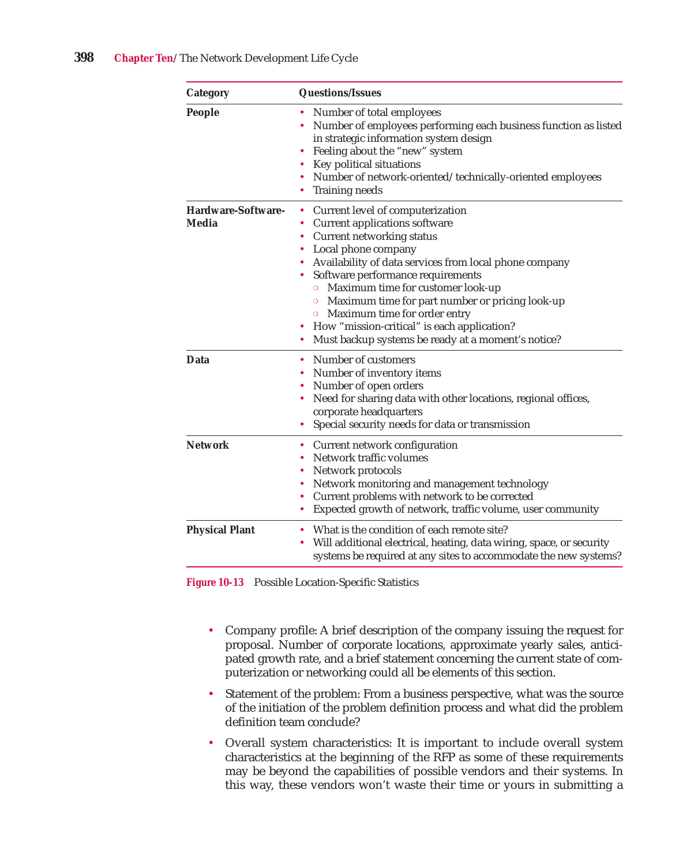| <b>Category</b>             | Questions/Issues<br>• Number of total employees<br>• Number of employees performing each business function as listed<br>in strategic information system design<br>Feeling about the "new" system<br>• Key political situations<br>• Number of network-oriented/technically-oriented employees<br>Training needs                                                                                                                                                                                    |  |  |  |
|-----------------------------|----------------------------------------------------------------------------------------------------------------------------------------------------------------------------------------------------------------------------------------------------------------------------------------------------------------------------------------------------------------------------------------------------------------------------------------------------------------------------------------------------|--|--|--|
| People                      |                                                                                                                                                                                                                                                                                                                                                                                                                                                                                                    |  |  |  |
| Hardware-Software-<br>Media | Current level of computerization<br>٠<br><b>Current applications software</b><br>٠<br>Current networking status<br>٠<br>Local phone company<br>• Availability of data services from local phone company<br>• Software performance requirements<br><b>O</b> Maximum time for customer look-up<br><b>Maximum time for part number or pricing look-up</b><br>• Maximum time for order entry<br>How "mission-critical" is each application?<br>Must backup systems be ready at a moment's notice?<br>٠ |  |  |  |
| Data                        | • Number of customers<br>• Number of inventory items<br>• Number of open orders<br>• Need for sharing data with other locations, regional offices,<br>corporate headquarters<br>Special security needs for data or transmission                                                                                                                                                                                                                                                                    |  |  |  |
| <b>Network</b>              | Current network configuration<br>٠<br>Network traffic volumes<br>Network protocols<br>• Network monitoring and management technology<br>Current problems with network to be corrected<br>Expected growth of network, traffic volume, user community                                                                                                                                                                                                                                                |  |  |  |
| <b>Physical Plant</b>       | • What is the condition of each remote site?<br>Will additional electrical, heating, data wiring, space, or security<br>systems be required at any sites to accommodate the new systems?                                                                                                                                                                                                                                                                                                           |  |  |  |

*Figure 10-13* Possible Location-Specific Statistics

- Company profile: A brief description of the company issuing the request for proposal. Number of corporate locations, approximate yearly sales, anticipated growth rate, and a brief statement concerning the current state of computerization or networking could all be elements of this section.
- Statement of the problem: From a business perspective, what was the source of the initiation of the problem definition process and what did the problem definition team conclude?
- Overall system characteristics: It is important to include overall system characteristics at the beginning of the RFP as some of these requirements may be beyond the capabilities of possible vendors and their systems. In this way, these vendors won't waste their time or yours in submitting a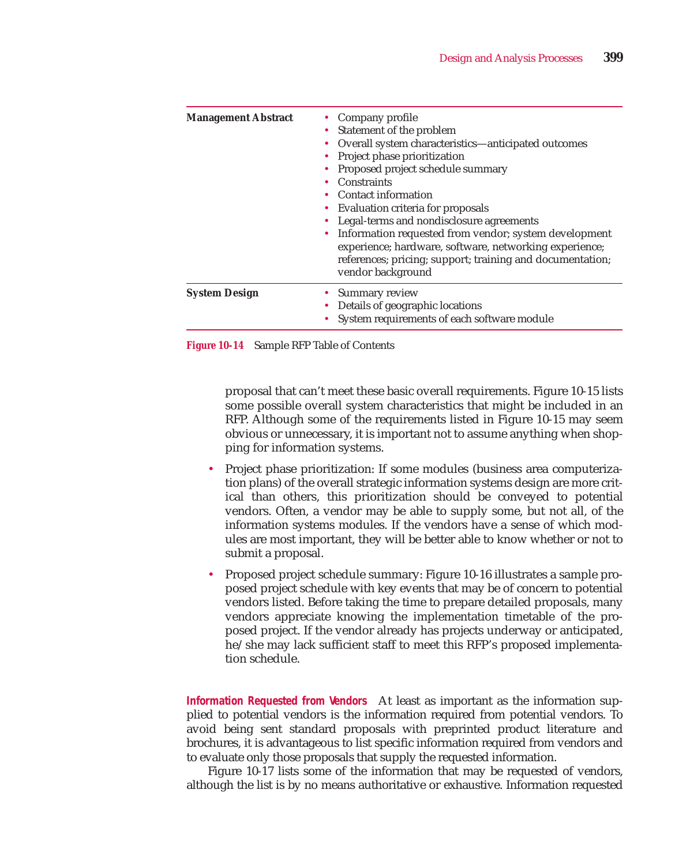| <b>Management Abstract</b> | Company profile<br>Statement of the problem<br>• Overall system characteristics—anticipated outcomes<br>• Project phase prioritization<br>• Proposed project schedule summary<br>Constraints<br>• Contact information<br>• Evaluation criteria for proposals<br>• Legal-terms and nondisclosure agreements<br>• Information requested from vendor; system development<br>experience; hardware, software, networking experience;<br>references; pricing; support; training and documentation;<br>vendor background |
|----------------------------|-------------------------------------------------------------------------------------------------------------------------------------------------------------------------------------------------------------------------------------------------------------------------------------------------------------------------------------------------------------------------------------------------------------------------------------------------------------------------------------------------------------------|
| <b>System Design</b>       | Summary review<br>Details of geographic locations<br>System requirements of each software module                                                                                                                                                                                                                                                                                                                                                                                                                  |



proposal that can't meet these basic overall requirements. Figure 10-15 lists some possible overall system characteristics that might be included in an RFP. Although some of the requirements listed in Figure 10-15 may seem obvious or unnecessary, it is important not to assume anything when shopping for information systems.

- Project phase prioritization: If some modules (business area computerization plans) of the overall strategic information systems design are more critical than others, this prioritization should be conveyed to potential vendors. Often, a vendor may be able to supply some, but not all, of the information systems modules. If the vendors have a sense of which modules are most important, they will be better able to know whether or not to submit a proposal.
- Proposed project schedule summary: Figure 10-16 illustrates a sample proposed project schedule with key events that may be of concern to potential vendors listed. Before taking the time to prepare detailed proposals, many vendors appreciate knowing the implementation timetable of the proposed project. If the vendor already has projects underway or anticipated, he/she may lack sufficient staff to meet this RFP's proposed implementation schedule.

**Information Requested from Vendors** At least as important as the information supplied to potential vendors is the information required from potential vendors. To avoid being sent standard proposals with preprinted product literature and brochures, it is advantageous to list specific information required from vendors and to evaluate only those proposals that supply the requested information.

Figure 10-17 lists some of the information that may be requested of vendors, although the list is by no means authoritative or exhaustive. Information requested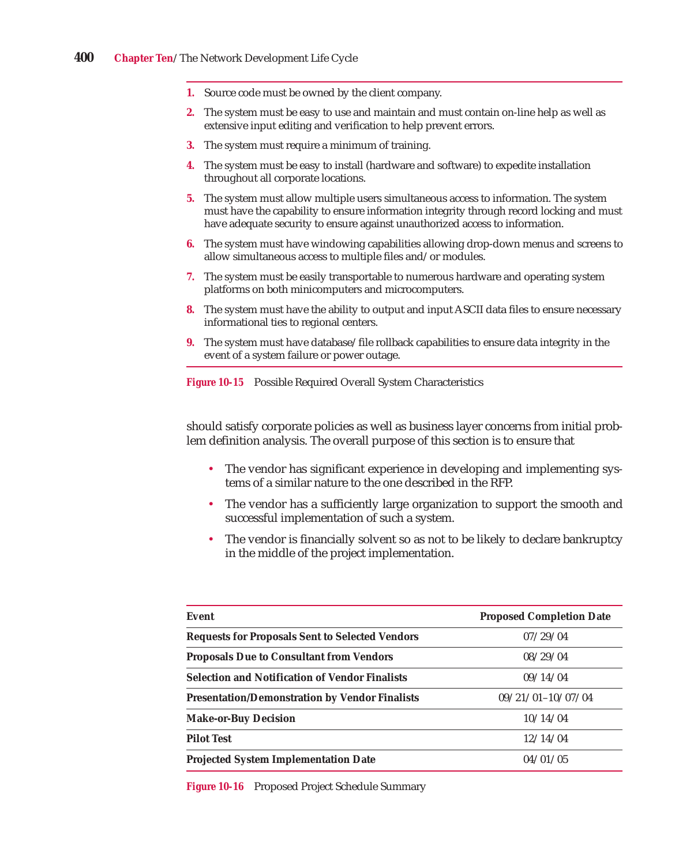- **1.** Source code must be owned by the client company.
- **2.** The system must be easy to use and maintain and must contain on-line help as well as extensive input editing and verification to help prevent errors.
- **3.** The system must require a minimum of training.
- **4.** The system must be easy to install (hardware and software) to expedite installation throughout all corporate locations.
- **5.** The system must allow multiple users simultaneous access to information. The system must have the capability to ensure information integrity through record locking and must have adequate security to ensure against unauthorized access to information.
- **6.** The system must have windowing capabilities allowing drop-down menus and screens to allow simultaneous access to multiple files and/or modules.
- **7.** The system must be easily transportable to numerous hardware and operating system platforms on both minicomputers and microcomputers.
- **8.** The system must have the ability to output and input ASCII data files to ensure necessary informational ties to regional centers.
- **9.** The system must have database/file rollback capabilities to ensure data integrity in the event of a system failure or power outage.

#### *Figure 10-15* Possible Required Overall System Characteristics

should satisfy corporate policies as well as business layer concerns from initial problem definition analysis. The overall purpose of this section is to ensure that

- The vendor has significant experience in developing and implementing systems of a similar nature to the one described in the RFP.
- The vendor has a sufficiently large organization to support the smooth and successful implementation of such a system.
- The vendor is financially solvent so as not to be likely to declare bankruptcy in the middle of the project implementation.

| Event                                                  | <b>Proposed Completion Date</b> |  |  |
|--------------------------------------------------------|---------------------------------|--|--|
| <b>Requests for Proposals Sent to Selected Vendors</b> | 07/29/04                        |  |  |
| <b>Proposals Due to Consultant from Vendors</b>        | 08/29/04                        |  |  |
| <b>Selection and Notification of Vendor Finalists</b>  | 09/14/04                        |  |  |
| <b>Presentation/Demonstration by Vendor Finalists</b>  | $09/21/01 - 10/07/04$           |  |  |
| <b>Make-or-Buy Decision</b>                            | 10/14/04                        |  |  |
| <b>Pilot Test</b>                                      | 12/14/04                        |  |  |
| <b>Projected System Implementation Date</b>            | 04/01/05                        |  |  |

**Figure 10-16** Proposed Project Schedule Summary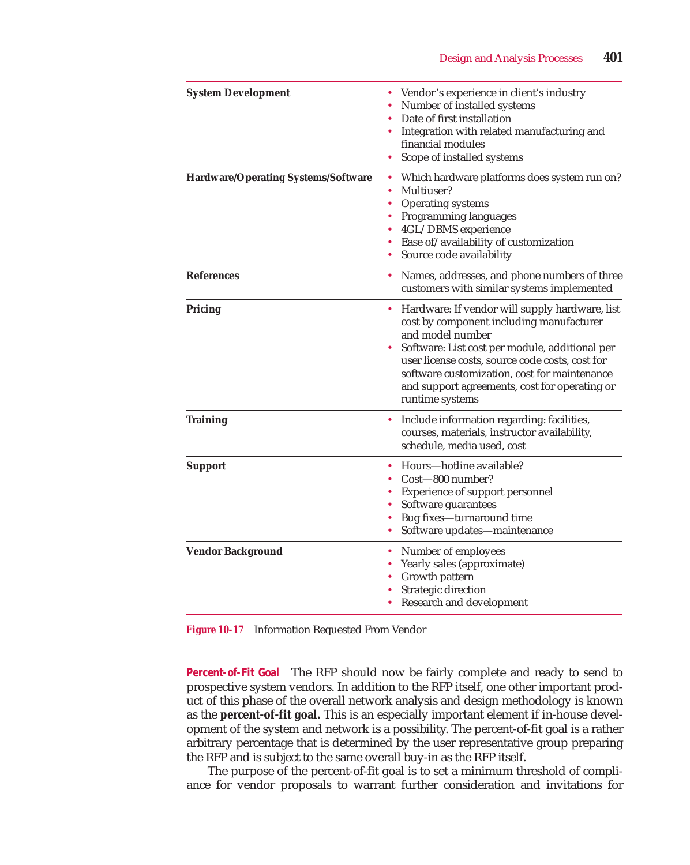| <b>System Development</b>           | Vendor's experience in client's industry<br>Number of installed systems<br>Date of first installation<br>Integration with related manufacturing and<br>financial modules<br>Scope of installed systems<br>٠                                                                                                                               |
|-------------------------------------|-------------------------------------------------------------------------------------------------------------------------------------------------------------------------------------------------------------------------------------------------------------------------------------------------------------------------------------------|
| Hardware/Operating Systems/Software | Which hardware platforms does system run on?<br>٠<br>Multiuser?<br><b>Operating systems</b><br>Programming languages<br>• 4GL/DBMS experience<br>Ease of/availability of customization<br>Source code availability                                                                                                                        |
| <b>References</b>                   | Names, addresses, and phone numbers of three<br>٠<br>customers with similar systems implemented                                                                                                                                                                                                                                           |
| Pricing                             | • Hardware: If vendor will supply hardware, list<br>cost by component including manufacturer<br>and model number<br>Software: List cost per module, additional per<br>user license costs, source code costs, cost for<br>software customization, cost for maintenance<br>and support agreements, cost for operating or<br>runtime systems |
| <b>Training</b>                     | • Include information regarding: facilities,<br>courses, materials, instructor availability,<br>schedule, media used, cost                                                                                                                                                                                                                |
| <b>Support</b>                      | Hours—hotline available?<br>$\bullet$<br>Cost-800 number?<br>Experience of support personnel<br>Software guarantees<br>Bug fixes—turnaround time<br>Software updates-maintenance                                                                                                                                                          |
| <b>Vendor Background</b>            | Number of employees<br>٠<br>Yearly sales (approximate)<br>• Growth pattern<br>Strategic direction<br>• Research and development                                                                                                                                                                                                           |

*Figure 10-17* Information Requested From Vendor

**Percent-of-Fit Goal** The RFP should now be fairly complete and ready to send to prospective system vendors. In addition to the RFP itself, one other important product of this phase of the overall network analysis and design methodology is known as the **percent-of-fit goal.** This is an especially important element if in-house development of the system and network is a possibility. The percent-of-fit goal is a rather arbitrary percentage that is determined by the user representative group preparing the RFP and is subject to the same overall buy-in as the RFP itself.

The purpose of the percent-of-fit goal is to set a minimum threshold of compliance for vendor proposals to warrant further consideration and invitations for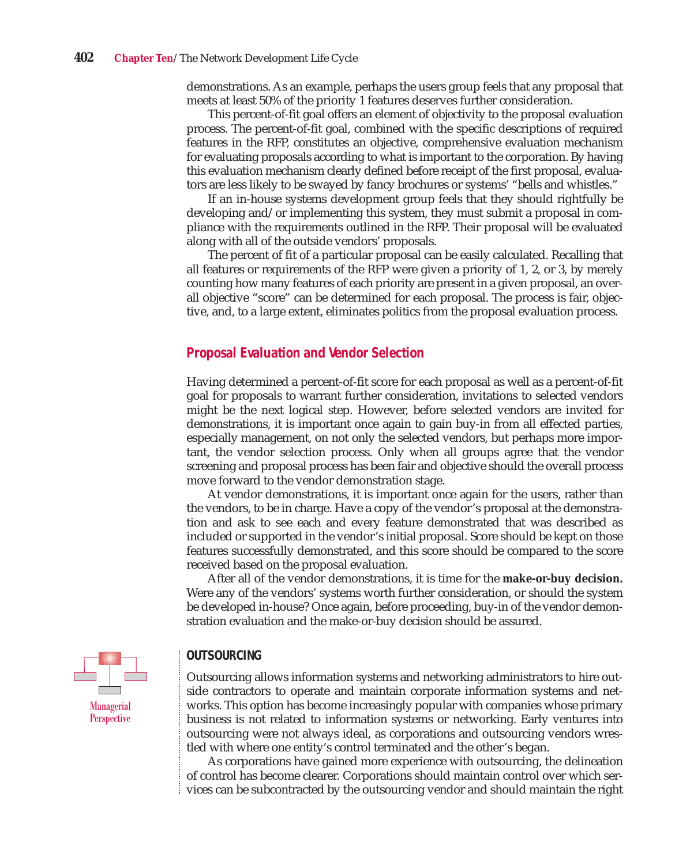demonstrations. As an example, perhaps the users group feels that any proposal that meets at least 50% of the priority 1 features deserves further consideration.

This percent-of-fit goal offers an element of objectivity to the proposal evaluation process. The percent-of-fit goal, combined with the specific descriptions of required features in the RFP, constitutes an objective, comprehensive evaluation mechanism for evaluating proposals according to what is important to the corporation. By having this evaluation mechanism clearly defined before receipt of the first proposal, evaluators are less likely to be swayed by fancy brochures or systems' "bells and whistles."

If an in-house systems development group feels that they should rightfully be developing and/or implementing this system, they must submit a proposal in compliance with the requirements outlined in the RFP. Their proposal will be evaluated along with all of the outside vendors' proposals.

The percent of fit of a particular proposal can be easily calculated. Recalling that all features or requirements of the RFP were given a priority of 1, 2, or 3, by merely counting how many features of each priority are present in a given proposal, an overall objective "score" can be determined for each proposal. The process is fair, objective, and, to a large extent, eliminates politics from the proposal evaluation process.

# **Proposal Evaluation and Vendor Selection**

Having determined a percent-of-fit score for each proposal as well as a percent-of-fit goal for proposals to warrant further consideration, invitations to selected vendors might be the next logical step. However, before selected vendors are invited for demonstrations, it is important once again to gain buy-in from all effected parties, especially management, on not only the selected vendors, but perhaps more important, the vendor selection process. Only when all groups agree that the vendor screening and proposal process has been fair and objective should the overall process move forward to the vendor demonstration stage.

At vendor demonstrations, it is important once again for the users, rather than the vendors, to be in charge. Have a copy of the vendor's proposal at the demonstration and ask to see each and every feature demonstrated that was described as included or supported in the vendor's initial proposal. Score should be kept on those features successfully demonstrated, and this score should be compared to the score received based on the proposal evaluation.

After all of the vendor demonstrations, it is time for the **make-or-buy decision.** Were any of the vendors' systems worth further consideration, or should the system be developed in-house? Once again, before proceeding, buy-in of the vendor demonstration evaluation and the make-or-buy decision should be assured.



### **OUTSOURCING**

Outsourcing allows information systems and networking administrators to hire outside contractors to operate and maintain corporate information systems and networks. This option has become increasingly popular with companies whose primary business is not related to information systems or networking. Early ventures into outsourcing were not always ideal, as corporations and outsourcing vendors wrestled with where one entity's control terminated and the other's began.

As corporations have gained more experience with outsourcing, the delineation of control has become clearer. Corporations should maintain control over which services can be subcontracted by the outsourcing vendor and should maintain the right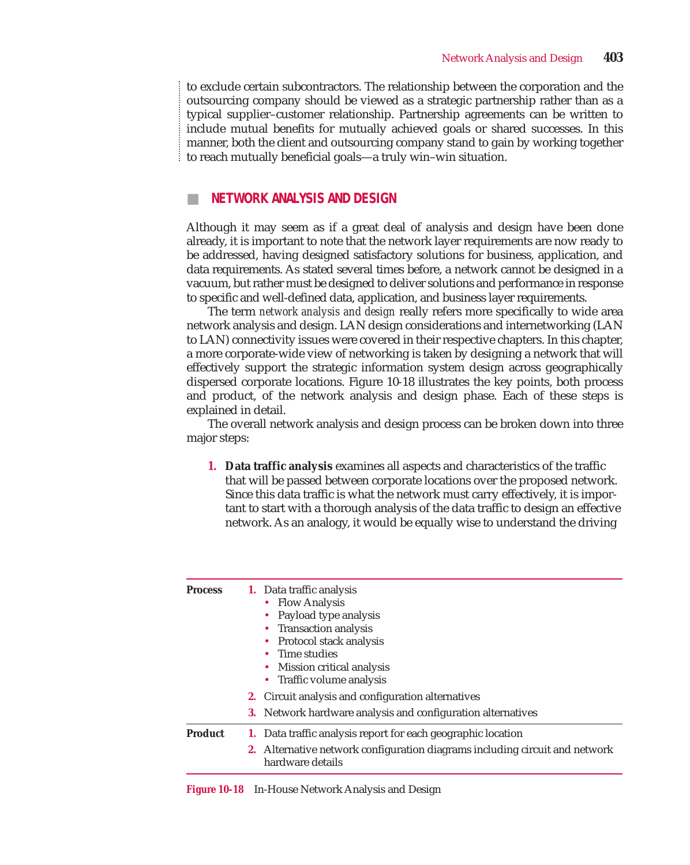to exclude certain subcontractors. The relationship between the corporation and the outsourcing company should be viewed as a strategic partnership rather than as a typical supplier–customer relationship. Partnership agreements can be written to include mutual benefits for mutually achieved goals or shared successes. In this manner, both the client and outsourcing company stand to gain by working together to reach mutually beneficial goals—a truly win–win situation.

# ■ **NETWORK ANALYSIS AND DESIGN**

Although it may seem as if a great deal of analysis and design have been done already, it is important to note that the network layer requirements are now ready to be addressed, having designed satisfactory solutions for business, application, and data requirements. As stated several times before, a network cannot be designed in a vacuum, but rather must be designed to deliver solutions and performance in response to specific and well-defined data, application, and business layer requirements.

The term *network analysis and design* really refers more specifically to wide area network analysis and design. LAN design considerations and internetworking (LAN to LAN) connectivity issues were covered in their respective chapters. In this chapter, a more corporate-wide view of networking is taken by designing a network that will effectively support the strategic information system design across geographically dispersed corporate locations. Figure 10-18 illustrates the key points, both process and product, of the network analysis and design phase. Each of these steps is explained in detail.

The overall network analysis and design process can be broken down into three major steps:

**1. Data traffic analysis** examines all aspects and characteristics of the traffic that will be passed between corporate locations over the proposed network. Since this data traffic is what the network must carry effectively, it is important to start with a thorough analysis of the data traffic to design an effective network. As an analogy, it would be equally wise to understand the driving

| <b>Process</b> | <b>1.</b> Data traffic analysis<br>• Flow Analysis<br>• Payload type analysis<br><b>Transaction analysis</b><br>• Protocol stack analysis<br>Time studies<br>Mission critical analysis<br>• Traffic volume analysis |
|----------------|---------------------------------------------------------------------------------------------------------------------------------------------------------------------------------------------------------------------|
|                | <b>2.</b> Circuit analysis and configuration alternatives                                                                                                                                                           |
|                | <b>3.</b> Network hardware analysis and configuration alternatives                                                                                                                                                  |
| Product        | <b>1.</b> Data traffic analysis report for each geographic location<br><b>2.</b> Alternative network configuration diagrams including circuit and network<br>hardware details                                       |

| Figure 10-18 In-House Network Analysis and Design |  |  |  |  |  |  |
|---------------------------------------------------|--|--|--|--|--|--|
|---------------------------------------------------|--|--|--|--|--|--|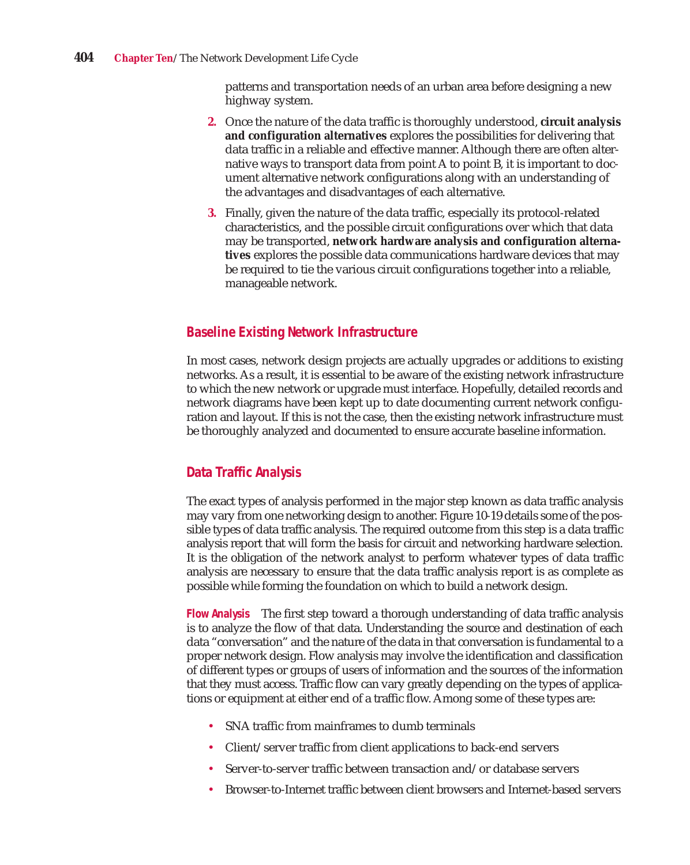patterns and transportation needs of an urban area before designing a new highway system.

- **2.** Once the nature of the data traffic is thoroughly understood, **circuit analysis and configuration alternatives** explores the possibilities for delivering that data traffic in a reliable and effective manner. Although there are often alternative ways to transport data from point A to point B, it is important to document alternative network configurations along with an understanding of the advantages and disadvantages of each alternative.
- **3.** Finally, given the nature of the data traffic, especially its protocol-related characteristics, and the possible circuit configurations over which that data may be transported, **network hardware analysis and configuration alternatives** explores the possible data communications hardware devices that may be required to tie the various circuit configurations together into a reliable, manageable network.

# **Baseline Existing Network Infrastructure**

In most cases, network design projects are actually upgrades or additions to existing networks. As a result, it is essential to be aware of the existing network infrastructure to which the new network or upgrade must interface. Hopefully, detailed records and network diagrams have been kept up to date documenting current network configuration and layout. If this is not the case, then the existing network infrastructure must be thoroughly analyzed and documented to ensure accurate baseline information.

# **Data Traffic Analysis**

The exact types of analysis performed in the major step known as data traffic analysis may vary from one networking design to another. Figure 10-19 details some of the possible types of data traffic analysis. The required outcome from this step is a data traffic analysis report that will form the basis for circuit and networking hardware selection. It is the obligation of the network analyst to perform whatever types of data traffic analysis are necessary to ensure that the data traffic analysis report is as complete as possible while forming the foundation on which to build a network design.

**Flow Analysis** The first step toward a thorough understanding of data traffic analysis is to analyze the flow of that data. Understanding the source and destination of each data "conversation" and the nature of the data in that conversation is fundamental to a proper network design. Flow analysis may involve the identification and classification of different types or groups of users of information and the sources of the information that they must access. Traffic flow can vary greatly depending on the types of applications or equipment at either end of a traffic flow. Among some of these types are:

- SNA traffic from mainframes to dumb terminals
- Client/server traffic from client applications to back-end servers
- Server-to-server traffic between transaction and/or database servers
- Browser-to-Internet traffic between client browsers and Internet-based servers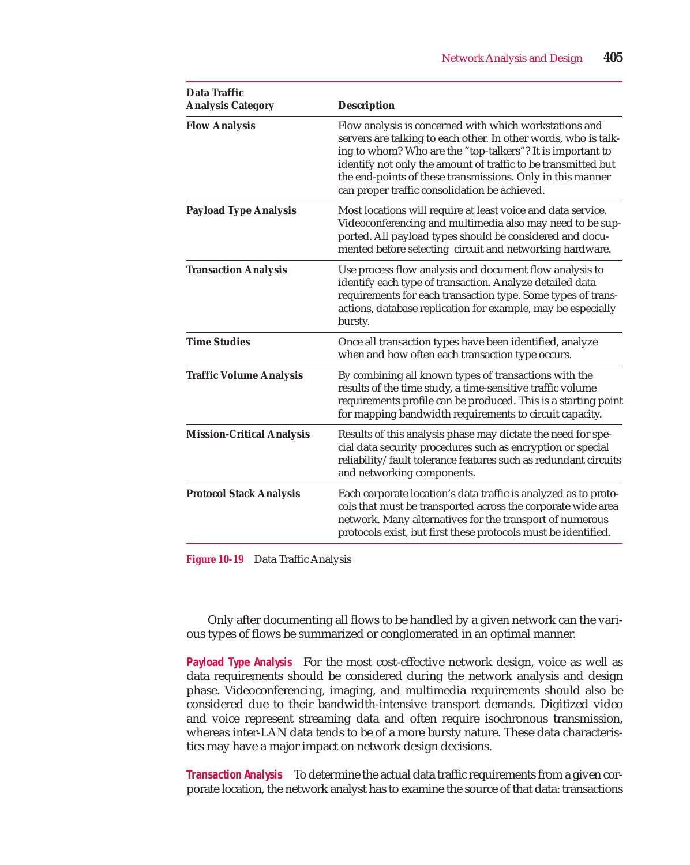| Data Traffic<br><b>Analysis Category</b> | <b>Description</b>                                                                                                                                                                                                                                                                                                                                                      |
|------------------------------------------|-------------------------------------------------------------------------------------------------------------------------------------------------------------------------------------------------------------------------------------------------------------------------------------------------------------------------------------------------------------------------|
| <b>Flow Analysis</b>                     | Flow analysis is concerned with which workstations and<br>servers are talking to each other. In other words, who is talk-<br>ing to whom? Who are the "top-talkers"? It is important to<br>identify not only the amount of traffic to be transmitted but<br>the end-points of these transmissions. Only in this manner<br>can proper traffic consolidation be achieved. |
| <b>Payload Type Analysis</b>             | Most locations will require at least voice and data service.<br>Videoconferencing and multimedia also may need to be sup-<br>ported. All payload types should be considered and docu-<br>mented before selecting circuit and networking hardware.                                                                                                                       |
| <b>Transaction Analysis</b>              | Use process flow analysis and document flow analysis to<br>identify each type of transaction. Analyze detailed data<br>requirements for each transaction type. Some types of trans-<br>actions, database replication for example, may be especially<br>bursty.                                                                                                          |
| <b>Time Studies</b>                      | Once all transaction types have been identified, analyze<br>when and how often each transaction type occurs.                                                                                                                                                                                                                                                            |
| <b>Traffic Volume Analysis</b>           | By combining all known types of transactions with the<br>results of the time study, a time-sensitive traffic volume<br>requirements profile can be produced. This is a starting point<br>for mapping bandwidth requirements to circuit capacity.                                                                                                                        |
| <b>Mission-Critical Analysis</b>         | Results of this analysis phase may dictate the need for spe-<br>cial data security procedures such as encryption or special<br>reliability/fault tolerance features such as redundant circuits<br>and networking components.                                                                                                                                            |
| <b>Protocol Stack Analysis</b>           | Each corporate location's data traffic is analyzed as to proto-<br>cols that must be transported across the corporate wide area<br>network. Many alternatives for the transport of numerous<br>protocols exist, but first these protocols must be identified.                                                                                                           |

*Figure 10-19* Data Traffic Analysis

Only after documenting all flows to be handled by a given network can the various types of flows be summarized or conglomerated in an optimal manner.

**Payload Type Analysis** For the most cost-effective network design, voice as well as data requirements should be considered during the network analysis and design phase. Videoconferencing, imaging, and multimedia requirements should also be considered due to their bandwidth-intensive transport demands. Digitized video and voice represent streaming data and often require isochronous transmission, whereas inter-LAN data tends to be of a more bursty nature. These data characteristics may have a major impact on network design decisions.

**Transaction Analysis** To determine the actual data traffic requirements from a given corporate location, the network analyst has to examine the source of that data: transactions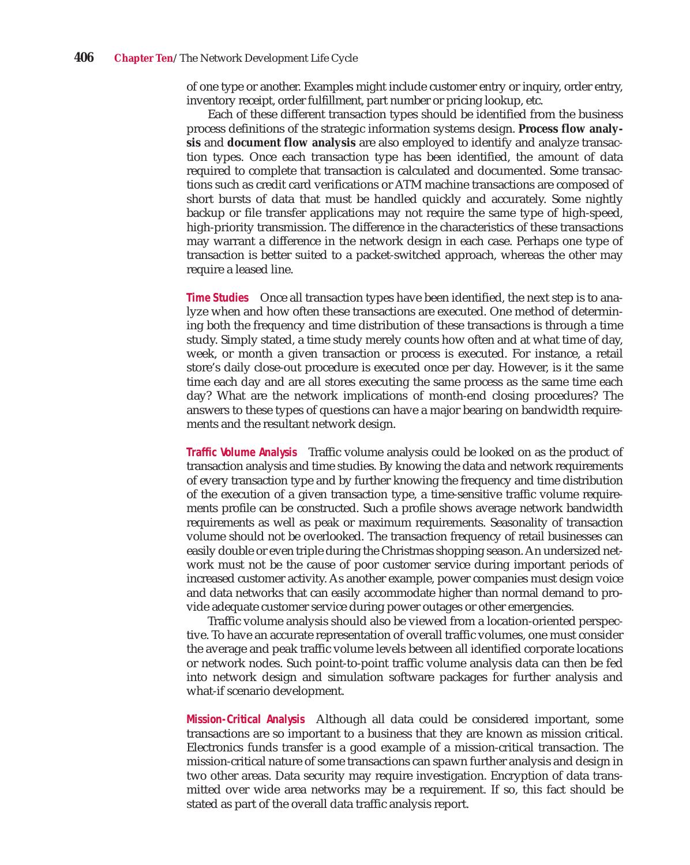of one type or another. Examples might include customer entry or inquiry, order entry, inventory receipt, order fulfillment, part number or pricing lookup, etc.

Each of these different transaction types should be identified from the business process definitions of the strategic information systems design. **Process flow analysis** and **document flow analysis** are also employed to identify and analyze transaction types. Once each transaction type has been identified, the amount of data required to complete that transaction is calculated and documented. Some transactions such as credit card verifications or ATM machine transactions are composed of short bursts of data that must be handled quickly and accurately. Some nightly backup or file transfer applications may not require the same type of high-speed, high-priority transmission. The difference in the characteristics of these transactions may warrant a difference in the network design in each case. Perhaps one type of transaction is better suited to a packet-switched approach, whereas the other may require a leased line.

**Time Studies** Once all transaction types have been identified, the next step is to analyze when and how often these transactions are executed. One method of determining both the frequency and time distribution of these transactions is through a time study. Simply stated, a time study merely counts how often and at what time of day, week, or month a given transaction or process is executed. For instance, a retail store's daily close-out procedure is executed once per day. However, is it the same time each day and are all stores executing the same process as the same time each day? What are the network implications of month-end closing procedures? The answers to these types of questions can have a major bearing on bandwidth requirements and the resultant network design.

**Traffic Volume Analysis** Traffic volume analysis could be looked on as the product of transaction analysis and time studies. By knowing the data and network requirements of every transaction type and by further knowing the frequency and time distribution of the execution of a given transaction type, a time-sensitive traffic volume requirements profile can be constructed. Such a profile shows average network bandwidth requirements as well as peak or maximum requirements. Seasonality of transaction volume should not be overlooked. The transaction frequency of retail businesses can easily double or even triple during the Christmas shopping season. An undersized network must not be the cause of poor customer service during important periods of increased customer activity. As another example, power companies must design voice and data networks that can easily accommodate higher than normal demand to provide adequate customer service during power outages or other emergencies.

Traffic volume analysis should also be viewed from a location-oriented perspective. To have an accurate representation of overall traffic volumes, one must consider the average and peak traffic volume levels between all identified corporate locations or network nodes. Such point-to-point traffic volume analysis data can then be fed into network design and simulation software packages for further analysis and what-if scenario development.

**Mission-Critical Analysis** Although all data could be considered important, some transactions are so important to a business that they are known as mission critical. Electronics funds transfer is a good example of a mission-critical transaction. The mission-critical nature of some transactions can spawn further analysis and design in two other areas. Data security may require investigation. Encryption of data transmitted over wide area networks may be a requirement. If so, this fact should be stated as part of the overall data traffic analysis report.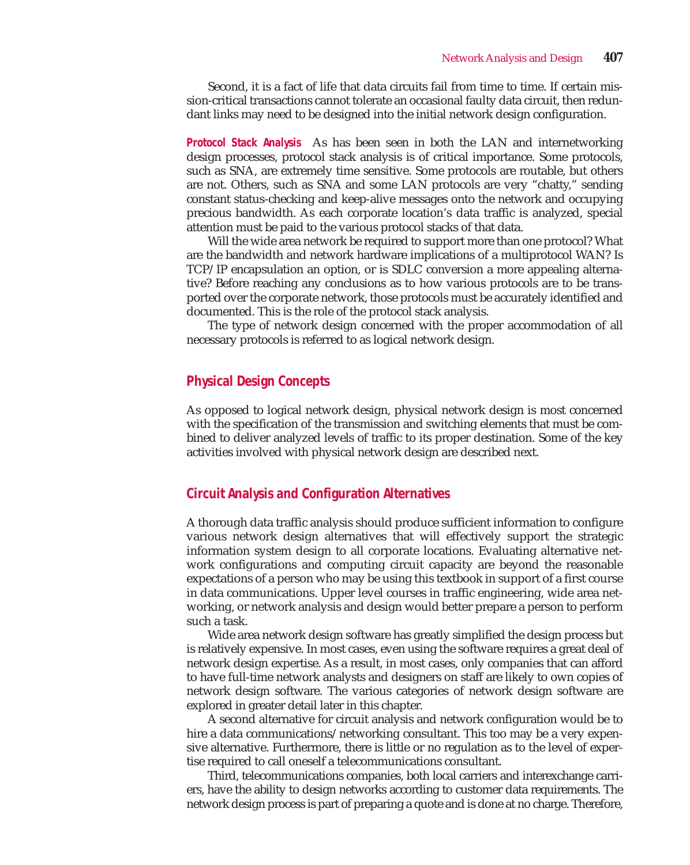Second, it is a fact of life that data circuits fail from time to time. If certain mission-critical transactions cannot tolerate an occasional faulty data circuit, then redundant links may need to be designed into the initial network design configuration.

**Protocol Stack Analysis** As has been seen in both the LAN and internetworking design processes, protocol stack analysis is of critical importance. Some protocols, such as SNA, are extremely time sensitive. Some protocols are routable, but others are not. Others, such as SNA and some LAN protocols are very "chatty," sending constant status-checking and keep-alive messages onto the network and occupying precious bandwidth. As each corporate location's data traffic is analyzed, special attention must be paid to the various protocol stacks of that data.

Will the wide area network be required to support more than one protocol? What are the bandwidth and network hardware implications of a multiprotocol WAN? Is TCP/IP encapsulation an option, or is SDLC conversion a more appealing alternative? Before reaching any conclusions as to how various protocols are to be transported over the corporate network, those protocols must be accurately identified and documented. This is the role of the protocol stack analysis.

The type of network design concerned with the proper accommodation of all necessary protocols is referred to as logical network design.

### **Physical Design Concepts**

As opposed to logical network design, physical network design is most concerned with the specification of the transmission and switching elements that must be combined to deliver analyzed levels of traffic to its proper destination. Some of the key activities involved with physical network design are described next.

# **Circuit Analysis and Configuration Alternatives**

A thorough data traffic analysis should produce sufficient information to configure various network design alternatives that will effectively support the strategic information system design to all corporate locations. Evaluating alternative network configurations and computing circuit capacity are beyond the reasonable expectations of a person who may be using this textbook in support of a first course in data communications. Upper level courses in traffic engineering, wide area networking, or network analysis and design would better prepare a person to perform such a task.

Wide area network design software has greatly simplified the design process but is relatively expensive. In most cases, even using the software requires a great deal of network design expertise. As a result, in most cases, only companies that can afford to have full-time network analysts and designers on staff are likely to own copies of network design software. The various categories of network design software are explored in greater detail later in this chapter.

A second alternative for circuit analysis and network configuration would be to hire a data communications/networking consultant. This too may be a very expensive alternative. Furthermore, there is little or no regulation as to the level of expertise required to call oneself a telecommunications consultant.

Third, telecommunications companies, both local carriers and interexchange carriers, have the ability to design networks according to customer data requirements. The network design process is part of preparing a quote and is done at no charge. Therefore,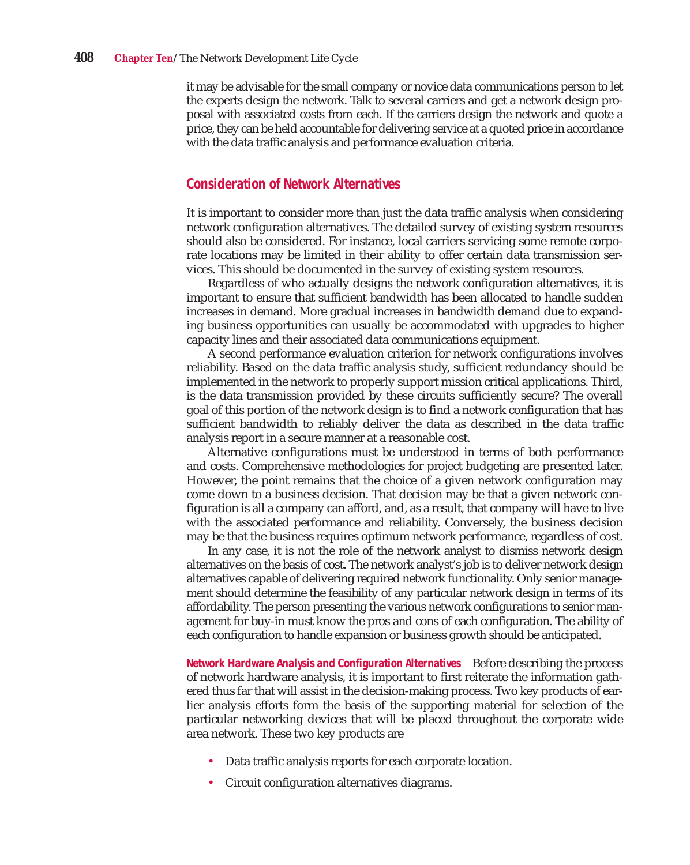it may be advisable for the small company or novice data communications person to let the experts design the network. Talk to several carriers and get a network design proposal with associated costs from each. If the carriers design the network and quote a price, they can be held accountable for delivering service at a quoted price in accordance with the data traffic analysis and performance evaluation criteria.

# **Consideration of Network Alternatives**

It is important to consider more than just the data traffic analysis when considering network configuration alternatives. The detailed survey of existing system resources should also be considered. For instance, local carriers servicing some remote corporate locations may be limited in their ability to offer certain data transmission services. This should be documented in the survey of existing system resources.

Regardless of who actually designs the network configuration alternatives, it is important to ensure that sufficient bandwidth has been allocated to handle sudden increases in demand. More gradual increases in bandwidth demand due to expanding business opportunities can usually be accommodated with upgrades to higher capacity lines and their associated data communications equipment.

A second performance evaluation criterion for network configurations involves reliability. Based on the data traffic analysis study, sufficient redundancy should be implemented in the network to properly support mission critical applications. Third, is the data transmission provided by these circuits sufficiently secure? The overall goal of this portion of the network design is to find a network configuration that has sufficient bandwidth to reliably deliver the data as described in the data traffic analysis report in a secure manner at a reasonable cost.

Alternative configurations must be understood in terms of both performance and costs. Comprehensive methodologies for project budgeting are presented later. However, the point remains that the choice of a given network configuration may come down to a business decision. That decision may be that a given network configuration is all a company can afford, and, as a result, that company will have to live with the associated performance and reliability. Conversely, the business decision may be that the business requires optimum network performance, regardless of cost.

In any case, it is not the role of the network analyst to dismiss network design alternatives on the basis of cost. The network analyst's job is to deliver network design alternatives capable of delivering required network functionality. Only senior management should determine the feasibility of any particular network design in terms of its affordability. The person presenting the various network configurations to senior management for buy-in must know the pros and cons of each configuration. The ability of each configuration to handle expansion or business growth should be anticipated.

**Network Hardware Analysis and Configuration Alternatives** Before describing the process of network hardware analysis, it is important to first reiterate the information gathered thus far that will assist in the decision-making process. Two key products of earlier analysis efforts form the basis of the supporting material for selection of the particular networking devices that will be placed throughout the corporate wide area network. These two key products are

- Data traffic analysis reports for each corporate location.
- Circuit configuration alternatives diagrams.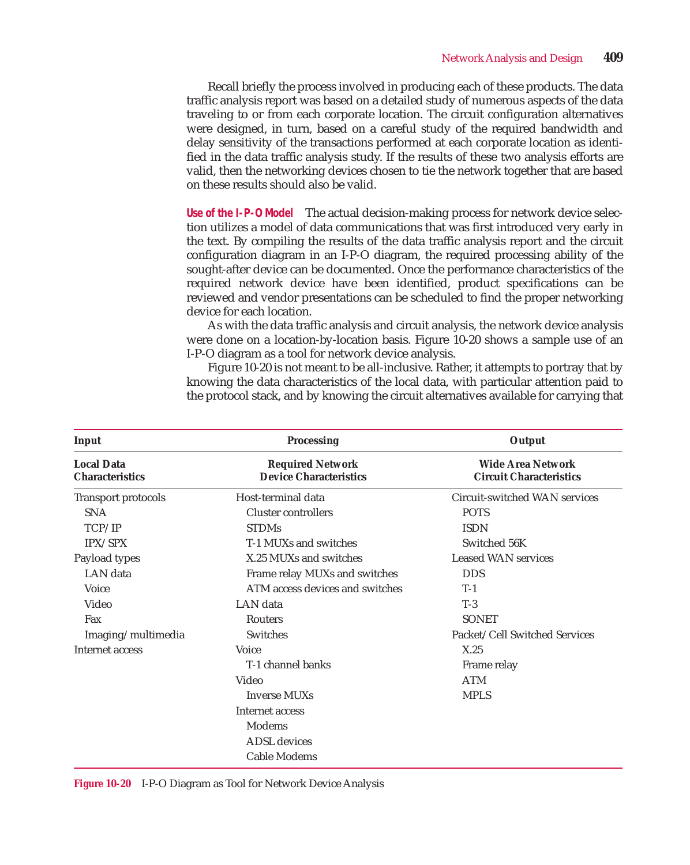Recall briefly the process involved in producing each of these products. The data traffic analysis report was based on a detailed study of numerous aspects of the data traveling to or from each corporate location. The circuit configuration alternatives were designed, in turn, based on a careful study of the required bandwidth and delay sensitivity of the transactions performed at each corporate location as identified in the data traffic analysis study. If the results of these two analysis efforts are valid, then the networking devices chosen to tie the network together that are based on these results should also be valid.

**Use of the I-P-O Model** The actual decision-making process for network device selection utilizes a model of data communications that was first introduced very early in the text. By compiling the results of the data traffic analysis report and the circuit configuration diagram in an I-P-O diagram, the required processing ability of the sought-after device can be documented. Once the performance characteristics of the required network device have been identified, product specifications can be reviewed and vendor presentations can be scheduled to find the proper networking device for each location.

As with the data traffic analysis and circuit analysis, the network device analysis were done on a location-by-location basis. Figure 10-20 shows a sample use of an I-P-O diagram as a tool for network device analysis.

Figure 10-20 is not meant to be all-inclusive. Rather, it attempts to portray that by knowing the data characteristics of the local data, with particular attention paid to the protocol stack, and by knowing the circuit alternatives available for carrying that

| Input                                       | <b>Processing</b>                                        | Output                                                     |  |
|---------------------------------------------|----------------------------------------------------------|------------------------------------------------------------|--|
| <b>Local Data</b><br><b>Characteristics</b> | <b>Required Network</b><br><b>Device Characteristics</b> | <b>Wide Area Network</b><br><b>Circuit Characteristics</b> |  |
| <b>Transport protocols</b>                  | Host-terminal data                                       | Circuit-switched WAN services                              |  |
| <b>SNA</b>                                  | <b>Cluster controllers</b>                               | <b>POTS</b>                                                |  |
| TCP/IP                                      | <b>STDMs</b>                                             | <b>ISDN</b>                                                |  |
| <b>IPX/SPX</b>                              | T-1 MUXs and switches                                    | Switched 56K                                               |  |
| Payload types                               | X.25 MUXs and switches                                   | <b>Leased WAN services</b>                                 |  |
| LAN data                                    | Frame relay MUXs and switches                            | <b>DDS</b>                                                 |  |
| Voice                                       | ATM access devices and switches                          | $T-1$                                                      |  |
| Video                                       | LAN data                                                 | $T-3$                                                      |  |
| Fax                                         | Routers                                                  | <b>SONET</b>                                               |  |
| Imaging/multimedia                          | Switches                                                 | Packet/Cell Switched Services                              |  |
| Internet access                             | <b>Voice</b>                                             | X.25                                                       |  |
|                                             | T-1 channel banks                                        | Frame relay                                                |  |
|                                             | Video                                                    | <b>ATM</b>                                                 |  |
|                                             | <b>Inverse MUXs</b>                                      | <b>MPLS</b>                                                |  |
|                                             | Internet access                                          |                                                            |  |
|                                             | Modems                                                   |                                                            |  |
|                                             | <b>ADSL</b> devices                                      |                                                            |  |
|                                             | <b>Cable Modems</b>                                      |                                                            |  |

*Figure 10-20* I-P-O Diagram as Tool for Network Device Analysis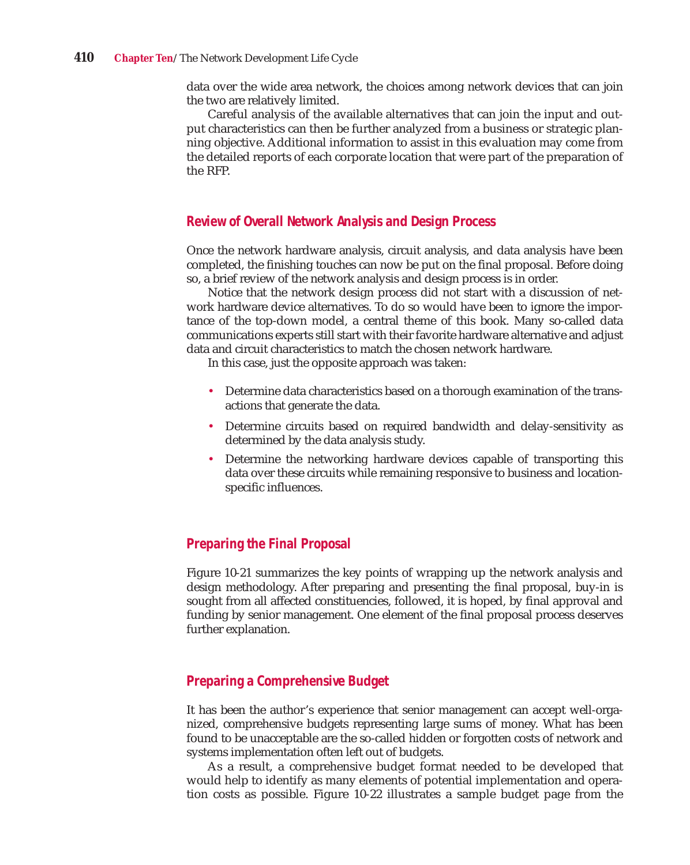data over the wide area network, the choices among network devices that can join the two are relatively limited.

Careful analysis of the available alternatives that can join the input and output characteristics can then be further analyzed from a business or strategic planning objective. Additional information to assist in this evaluation may come from the detailed reports of each corporate location that were part of the preparation of the RFP.

# **Review of Overall Network Analysis and Design Process**

Once the network hardware analysis, circuit analysis, and data analysis have been completed, the finishing touches can now be put on the final proposal. Before doing so, a brief review of the network analysis and design process is in order.

Notice that the network design process did not start with a discussion of network hardware device alternatives. To do so would have been to ignore the importance of the top-down model, a central theme of this book. Many so-called data communications experts still start with their favorite hardware alternative and adjust data and circuit characteristics to match the chosen network hardware.

In this case, just the opposite approach was taken:

- Determine data characteristics based on a thorough examination of the transactions that generate the data.
- Determine circuits based on required bandwidth and delay-sensitivity as determined by the data analysis study.
- Determine the networking hardware devices capable of transporting this data over these circuits while remaining responsive to business and locationspecific influences.

# **Preparing the Final Proposal**

Figure 10-21 summarizes the key points of wrapping up the network analysis and design methodology. After preparing and presenting the final proposal, buy-in is sought from all affected constituencies, followed, it is hoped, by final approval and funding by senior management. One element of the final proposal process deserves further explanation.

# **Preparing a Comprehensive Budget**

It has been the author's experience that senior management can accept well-organized, comprehensive budgets representing large sums of money. What has been found to be unacceptable are the so-called hidden or forgotten costs of network and systems implementation often left out of budgets.

As a result, a comprehensive budget format needed to be developed that would help to identify as many elements of potential implementation and operation costs as possible. Figure 10-22 illustrates a sample budget page from the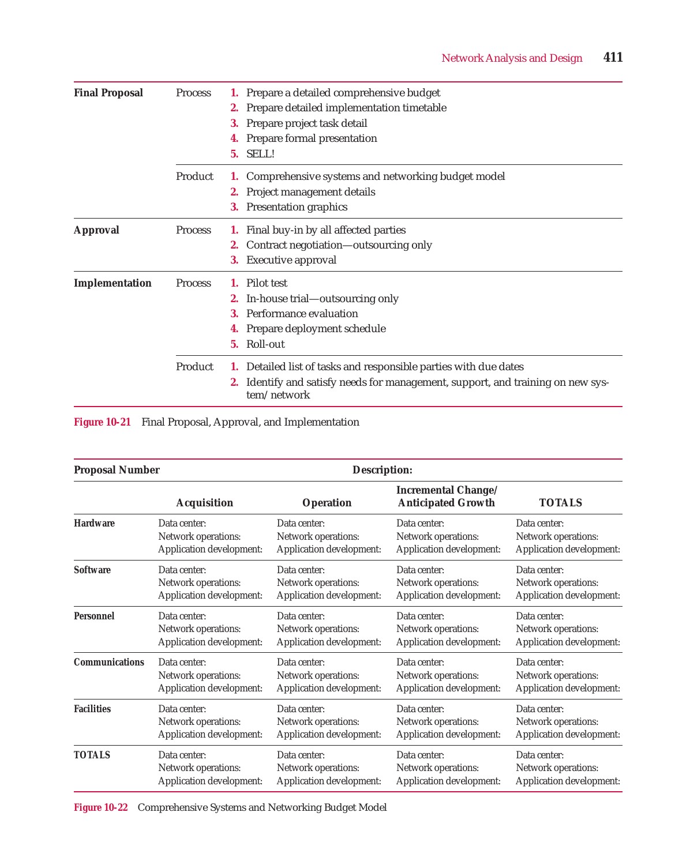| <b>Final Proposal</b> | <b>Process</b> | 1. Prepare a detailed comprehensive budget<br>Prepare detailed implementation timetable<br>$z_{\cdot}$<br><b>3.</b> Prepare project task detail<br><b>4.</b> Prepare formal presentation<br><b>5. SELL!</b> |
|-----------------------|----------------|-------------------------------------------------------------------------------------------------------------------------------------------------------------------------------------------------------------|
|                       | Product        | 1. Comprehensive systems and networking budget model<br>2. Project management details<br><b>Presentation graphics</b>                                                                                       |
| <b>Approval</b>       | Process        | Final buy-in by all affected parties<br>1.<br>Contract negotiation—outsourcing only<br>2.<br>Executive approval<br>3.                                                                                       |
| Implementation        | <b>Process</b> | Pilot test<br>In-house trial-outsourcing only<br>2.<br>Performance evaluation<br><b>4.</b> Prepare deployment schedule<br>5. Roll-out                                                                       |
|                       | Product        | Detailed list of tasks and responsible parties with due dates<br>1.<br>Identify and satisfy needs for management, support, and training on new sys-<br>2.<br>tem/network                                    |

*Figure 10-21* Final Proposal, Approval, and Implementation

| <b>Proposal Number</b> |                          | <b>Description:</b>      |                                                         |                          |
|------------------------|--------------------------|--------------------------|---------------------------------------------------------|--------------------------|
|                        | <b>Acquisition</b>       | <b>Operation</b>         | <b>Incremental Change/</b><br><b>Anticipated Growth</b> | <b>TOTALS</b>            |
| Hardware               | Data center:             | Data center:             | Data center:                                            | Data center:             |
|                        | Network operations:      | Network operations:      | Network operations:                                     | Network operations:      |
|                        | Application development: | Application development: | Application development:                                | Application development: |
| <b>Software</b>        | Data center:             | Data center:             | Data center:                                            | Data center:             |
|                        | Network operations:      | Network operations:      | Network operations:                                     | Network operations:      |
|                        | Application development: | Application development: | Application development:                                | Application development: |
| <b>Personnel</b>       | Data center:             | Data center:             | Data center:                                            | Data center:             |
|                        | Network operations:      | Network operations:      | Network operations:                                     | Network operations:      |
|                        | Application development: | Application development: | Application development:                                | Application development: |
| <b>Communications</b>  | Data center:             | Data center:             | Data center:                                            | Data center:             |
|                        | Network operations:      | Network operations:      | Network operations:                                     | Network operations:      |
|                        | Application development: | Application development: | Application development:                                | Application development: |
| <b>Facilities</b>      | Data center:             | Data center:             | Data center:                                            | Data center:             |
|                        | Network operations:      | Network operations:      | Network operations:                                     | Network operations:      |
|                        | Application development: | Application development: | Application development:                                | Application development: |
| <b>TOTALS</b>          | Data center:             | Data center:             | Data center:                                            | Data center:             |
|                        | Network operations:      | Network operations:      | Network operations:                                     | Network operations:      |
|                        | Application development: | Application development: | Application development:                                | Application development: |

*Figure 10-22* Comprehensive Systems and Networking Budget Model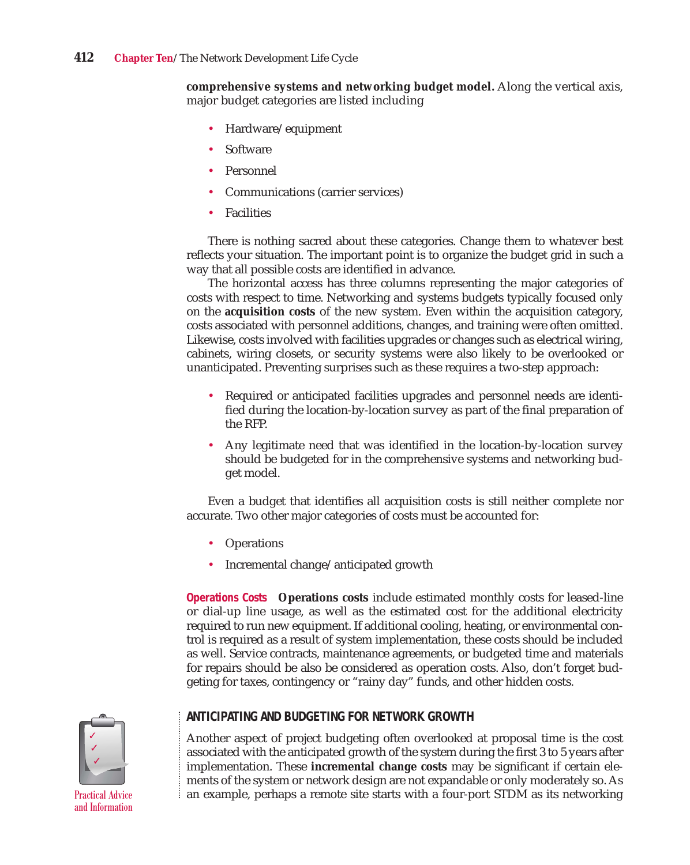**comprehensive systems and networking budget model.** Along the vertical axis, major budget categories are listed including

- Hardware/equipment
- **Software**
- Personnel
- Communications (carrier services)
- **Facilities**

There is nothing sacred about these categories. Change them to whatever best reflects your situation. The important point is to organize the budget grid in such a way that all possible costs are identified in advance.

The horizontal access has three columns representing the major categories of costs with respect to time. Networking and systems budgets typically focused only on the **acquisition costs** of the new system. Even within the acquisition category, costs associated with personnel additions, changes, and training were often omitted. Likewise, costs involved with facilities upgrades or changes such as electrical wiring, cabinets, wiring closets, or security systems were also likely to be overlooked or unanticipated. Preventing surprises such as these requires a two-step approach:

- Required or anticipated facilities upgrades and personnel needs are identified during the location-by-location survey as part of the final preparation of the RFP.
- Any legitimate need that was identified in the location-by-location survey should be budgeted for in the comprehensive systems and networking budget model.

Even a budget that identifies all acquisition costs is still neither complete nor accurate. Two other major categories of costs must be accounted for:

- **Operations**
- Incremental change/anticipated growth

**Operations Costs Operations costs** include estimated monthly costs for leased-line or dial-up line usage, as well as the estimated cost for the additional electricity required to run new equipment. If additional cooling, heating, or environmental control is required as a result of system implementation, these costs should be included as well. Service contracts, maintenance agreements, or budgeted time and materials for repairs should be also be considered as operation costs. Also, don't forget budgeting for taxes, contingency or "rainy day" funds, and other hidden costs.



Practical Advice and Information

# **ANTICIPATING AND BUDGETING FOR NETWORK GROWTH**

Another aspect of project budgeting often overlooked at proposal time is the cost associated with the anticipated growth of the system during the first 3 to 5 years after implementation. These **incremental change costs** may be significant if certain elements of the system or network design are not expandable or only moderately so. As an example, perhaps a remote site starts with a four-port STDM as its networking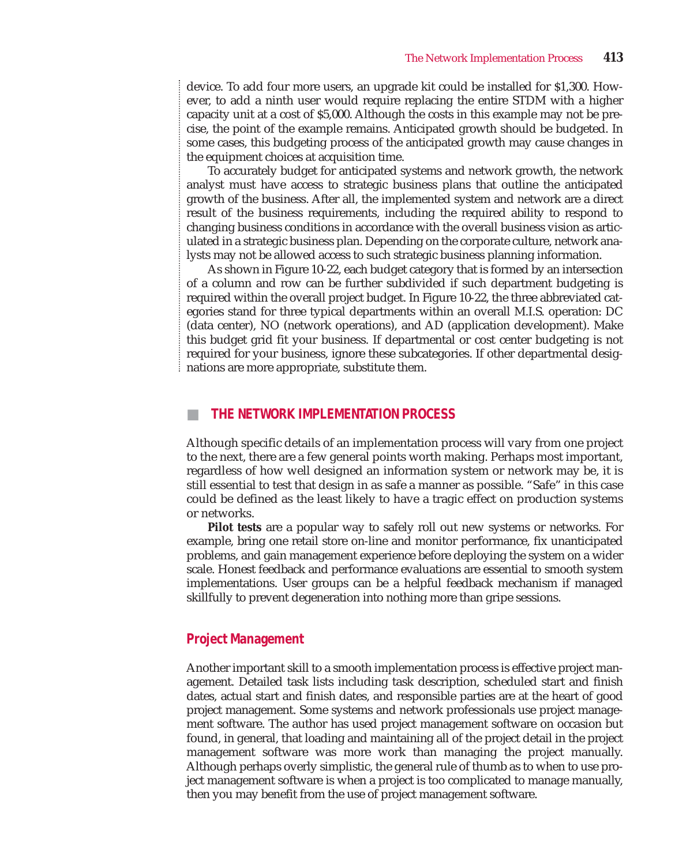device. To add four more users, an upgrade kit could be installed for \$1,300. However, to add a ninth user would require replacing the entire STDM with a higher capacity unit at a cost of \$5,000. Although the costs in this example may not be precise, the point of the example remains. Anticipated growth should be budgeted. In some cases, this budgeting process of the anticipated growth may cause changes in the equipment choices at acquisition time.

To accurately budget for anticipated systems and network growth, the network analyst must have access to strategic business plans that outline the anticipated growth of the business. After all, the implemented system and network are a direct result of the business requirements, including the required ability to respond to changing business conditions in accordance with the overall business vision as articulated in a strategic business plan. Depending on the corporate culture, network analysts may not be allowed access to such strategic business planning information.

As shown in Figure 10-22, each budget category that is formed by an intersection of a column and row can be further subdivided if such department budgeting is required within the overall project budget. In Figure 10-22, the three abbreviated categories stand for three typical departments within an overall M.I.S. operation: DC (data center), NO (network operations), and AD (application development). Make this budget grid fit your business. If departmental or cost center budgeting is not required for your business, ignore these subcategories. If other departmental designations are more appropriate, substitute them.

# **THE NETWORK IMPLEMENTATION PROCESS**

Although specific details of an implementation process will vary from one project to the next, there are a few general points worth making. Perhaps most important, regardless of how well designed an information system or network may be, it is still essential to test that design in as safe a manner as possible. "Safe" in this case could be defined as the least likely to have a tragic effect on production systems or networks.

**Pilot tests** are a popular way to safely roll out new systems or networks. For example, bring one retail store on-line and monitor performance, fix unanticipated problems, and gain management experience before deploying the system on a wider scale. Honest feedback and performance evaluations are essential to smooth system implementations. User groups can be a helpful feedback mechanism if managed skillfully to prevent degeneration into nothing more than gripe sessions.

### **Project Management**

Another important skill to a smooth implementation process is effective project management. Detailed task lists including task description, scheduled start and finish dates, actual start and finish dates, and responsible parties are at the heart of good project management. Some systems and network professionals use project management software. The author has used project management software on occasion but found, in general, that loading and maintaining all of the project detail in the project management software was more work than managing the project manually. Although perhaps overly simplistic, the general rule of thumb as to when to use project management software is when a project is too complicated to manage manually, then you may benefit from the use of project management software.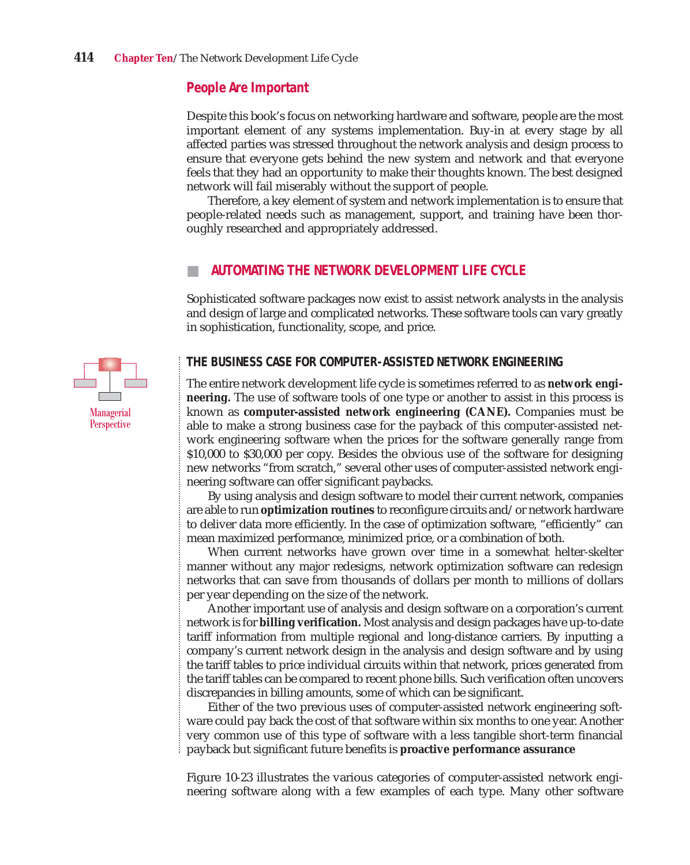# **People Are Important**

Despite this book's focus on networking hardware and software, people are the most important element of any systems implementation. Buy-in at every stage by all affected parties was stressed throughout the network analysis and design process to ensure that everyone gets behind the new system and network and that everyone feels that they had an opportunity to make their thoughts known. The best designed network will fail miserably without the support of people.

Therefore, a key element of system and network implementation is to ensure that people-related needs such as management, support, and training have been thoroughly researched and appropriately addressed.

# ■ **AUTOMATING THE NETWORK DEVELOPMENT LIFE CYCLE**

Sophisticated software packages now exist to assist network analysts in the analysis and design of large and complicated networks. These software tools can vary greatly in sophistication, functionality, scope, and price.

### **THE BUSINESS CASE FOR COMPUTER-ASSISTED NETWORK ENGINEERING**

The entire network development life cycle is sometimes referred to as **network engineering.** The use of software tools of one type or another to assist in this process is known as **computer-assisted network engineering (CANE).** Companies must be able to make a strong business case for the payback of this computer-assisted network engineering software when the prices for the software generally range from \$10,000 to \$30,000 per copy. Besides the obvious use of the software for designing new networks "from scratch," several other uses of computer-assisted network engineering software can offer significant paybacks.

By using analysis and design software to model their current network, companies are able to run **optimization routines** to reconfigure circuits and/or network hardware to deliver data more efficiently. In the case of optimization software, "efficiently" can mean maximized performance, minimized price, or a combination of both.

When current networks have grown over time in a somewhat helter-skelter manner without any major redesigns, network optimization software can redesign networks that can save from thousands of dollars per month to millions of dollars per year depending on the size of the network.

Another important use of analysis and design software on a corporation's current network is for **billing verification.** Most analysis and design packages have up-to-date tariff information from multiple regional and long-distance carriers. By inputting a company's current network design in the analysis and design software and by using the tariff tables to price individual circuits within that network, prices generated from the tariff tables can be compared to recent phone bills. Such verification often uncovers discrepancies in billing amounts, some of which can be significant.

Either of the two previous uses of computer-assisted network engineering software could pay back the cost of that software within six months to one year. Another very common use of this type of software with a less tangible short-term financial payback but significant future benefits is **proactive performance assurance**

Figure 10-23 illustrates the various categories of computer-assisted network engineering software along with a few examples of each type. Many other software

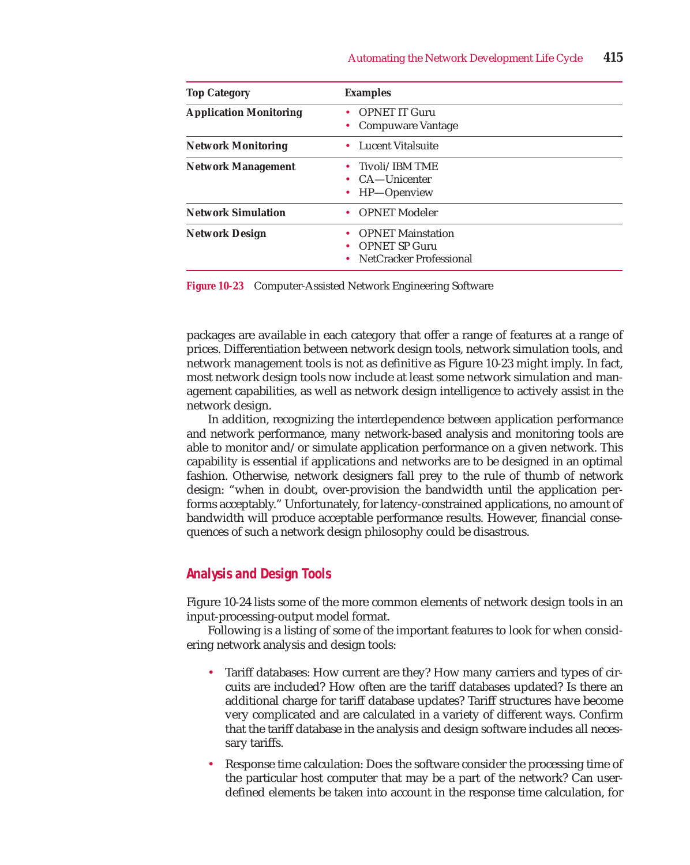| <b>Top Category</b>           | <b>Examples</b>                                                               |
|-------------------------------|-------------------------------------------------------------------------------|
| <b>Application Monitoring</b> | • OPNET IT Guru<br>• Compuware Vantage                                        |
| <b>Network Monitoring</b>     | • Lucent Vitalsuite                                                           |
| <b>Network Management</b>     | • Tivoli/IBM TME<br>• $CA-Unicenter$<br>• HP-Openview                         |
| <b>Network Simulation</b>     | • OPNET Modeler                                                               |
| Network Design                | <b>OPNET Mainstation</b><br>٠<br>• OPNET SP Guru<br>• NetCracker Professional |

*Figure 10-23* Computer-Assisted Network Engineering Software

packages are available in each category that offer a range of features at a range of prices. Differentiation between network design tools, network simulation tools, and network management tools is not as definitive as Figure 10-23 might imply. In fact, most network design tools now include at least some network simulation and management capabilities, as well as network design intelligence to actively assist in the network design.

In addition, recognizing the interdependence between application performance and network performance, many network-based analysis and monitoring tools are able to monitor and/or simulate application performance on a given network. This capability is essential if applications and networks are to be designed in an optimal fashion. Otherwise, network designers fall prey to the rule of thumb of network design: "when in doubt, over-provision the bandwidth until the application performs acceptably." Unfortunately, for latency-constrained applications, no amount of bandwidth will produce acceptable performance results. However, financial consequences of such a network design philosophy could be disastrous.

# **Analysis and Design Tools**

Figure 10-24 lists some of the more common elements of network design tools in an input-processing-output model format.

Following is a listing of some of the important features to look for when considering network analysis and design tools:

- Tariff databases: How current are they? How many carriers and types of circuits are included? How often are the tariff databases updated? Is there an additional charge for tariff database updates? Tariff structures have become very complicated and are calculated in a variety of different ways. Confirm that the tariff database in the analysis and design software includes all necessary tariffs.
- Response time calculation: Does the software consider the processing time of the particular host computer that may be a part of the network? Can userdefined elements be taken into account in the response time calculation, for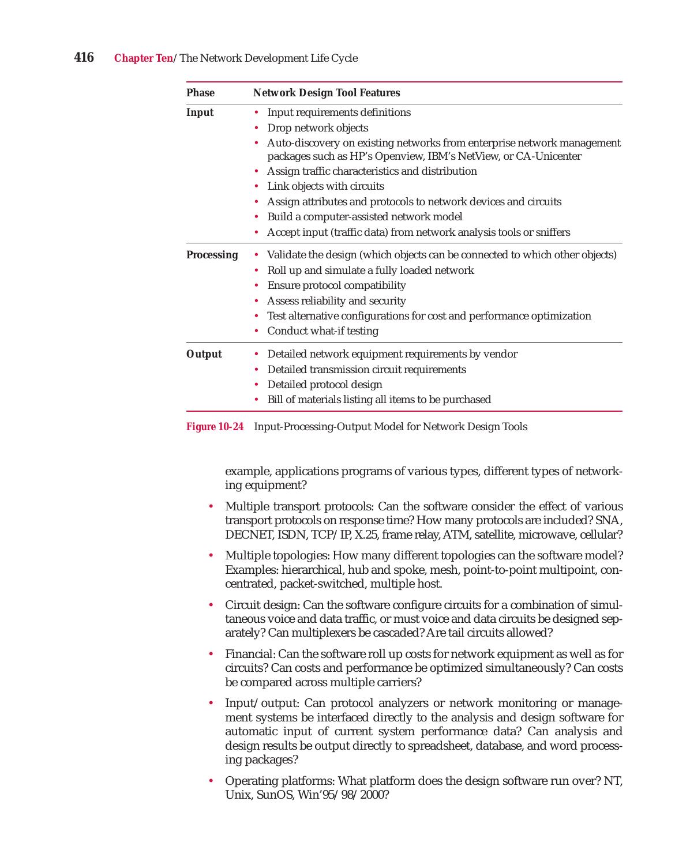| <b>Phase</b>      | <b>Network Design Tool Features</b>                                                                                                                                                                                                                                                                                                                                                                                                                                                               |
|-------------------|---------------------------------------------------------------------------------------------------------------------------------------------------------------------------------------------------------------------------------------------------------------------------------------------------------------------------------------------------------------------------------------------------------------------------------------------------------------------------------------------------|
| Input             | Input requirements definitions<br>٠<br>Drop network objects<br>٠<br>Auto-discovery on existing networks from enterprise network management<br>packages such as HP's Openview, IBM's NetView, or CA-Unicenter<br>Assign traffic characteristics and distribution<br>٠<br>Link objects with circuits<br>٠<br>Assign attributes and protocols to network devices and circuits<br>Build a computer-assisted network model<br>٠<br>Accept input (traffic data) from network analysis tools or sniffers |
| <b>Processing</b> | Validate the design (which objects can be connected to which other objects)<br>Roll up and simulate a fully loaded network<br>Ensure protocol compatibility<br>٠<br>Assess reliability and security<br>٠<br>Test alternative configurations for cost and performance optimization<br>٠<br>Conduct what-if testing                                                                                                                                                                                 |
| Output            | Detailed network equipment requirements by vendor<br>٠<br>Detailed transmission circuit requirements<br>٠<br>Detailed protocol design<br>٠<br>Bill of materials listing all items to be purchased                                                                                                                                                                                                                                                                                                 |

*Figure 10-24* Input-Processing-Output Model for Network Design Tools

example, applications programs of various types, different types of networking equipment?

- Multiple transport protocols: Can the software consider the effect of various transport protocols on response time? How many protocols are included? SNA, DECNET, ISDN, TCP/IP, X.25, frame relay, ATM, satellite, microwave, cellular?
- Multiple topologies: How many different topologies can the software model? Examples: hierarchical, hub and spoke, mesh, point-to-point multipoint, concentrated, packet-switched, multiple host.
- Circuit design: Can the software configure circuits for a combination of simultaneous voice and data traffic, or must voice and data circuits be designed separately? Can multiplexers be cascaded? Are tail circuits allowed?
- Financial: Can the software roll up costs for network equipment as well as for circuits? Can costs and performance be optimized simultaneously? Can costs be compared across multiple carriers?
- Input/output: Can protocol analyzers or network monitoring or management systems be interfaced directly to the analysis and design software for automatic input of current system performance data? Can analysis and design results be output directly to spreadsheet, database, and word processing packages?
- Operating platforms: What platform does the design software run over? NT, Unix, SunOS, Win'95/98/2000?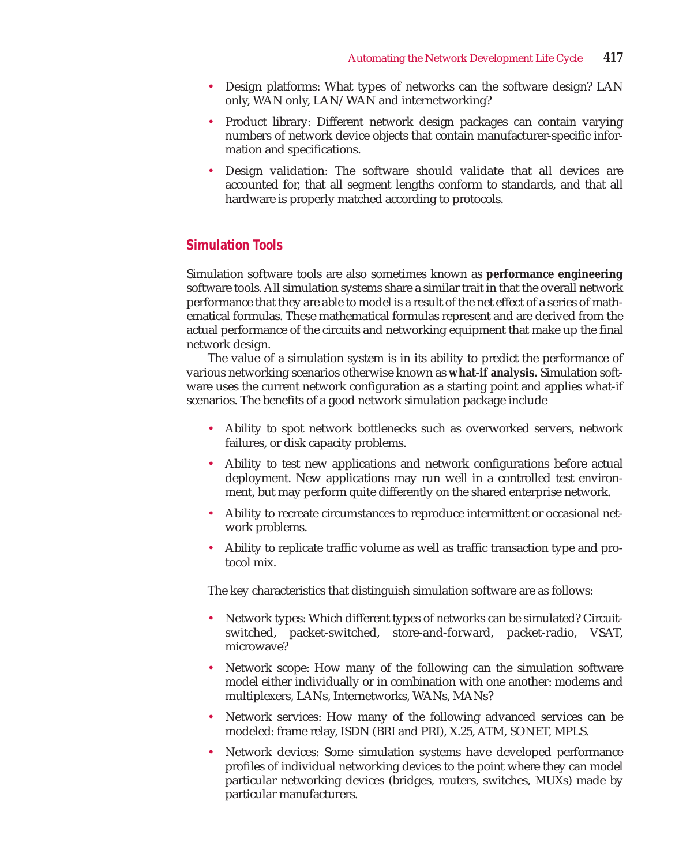- Design platforms: What types of networks can the software design? LAN only, WAN only, LAN/WAN and internetworking?
- Product library: Different network design packages can contain varying numbers of network device objects that contain manufacturer-specific information and specifications.
- Design validation: The software should validate that all devices are accounted for, that all segment lengths conform to standards, and that all hardware is properly matched according to protocols.

# **Simulation Tools**

Simulation software tools are also sometimes known as **performance engineering** software tools. All simulation systems share a similar trait in that the overall network performance that they are able to model is a result of the net effect of a series of mathematical formulas. These mathematical formulas represent and are derived from the actual performance of the circuits and networking equipment that make up the final network design.

The value of a simulation system is in its ability to predict the performance of various networking scenarios otherwise known as **what-if analysis.** Simulation software uses the current network configuration as a starting point and applies what-if scenarios. The benefits of a good network simulation package include

- Ability to spot network bottlenecks such as overworked servers, network failures, or disk capacity problems.
- Ability to test new applications and network configurations before actual deployment. New applications may run well in a controlled test environment, but may perform quite differently on the shared enterprise network.
- Ability to recreate circumstances to reproduce intermittent or occasional network problems.
- Ability to replicate traffic volume as well as traffic transaction type and protocol mix.

The key characteristics that distinguish simulation software are as follows:

- Network types: Which different types of networks can be simulated? Circuitswitched, packet-switched, store-and-forward, packet-radio, VSAT, microwave?
- Network scope: How many of the following can the simulation software model either individually or in combination with one another: modems and multiplexers, LANs, Internetworks, WANs, MANs?
- Network services: How many of the following advanced services can be modeled: frame relay, ISDN (BRI and PRI), X.25, ATM, SONET, MPLS.
- Network devices: Some simulation systems have developed performance profiles of individual networking devices to the point where they can model particular networking devices (bridges, routers, switches, MUXs) made by particular manufacturers.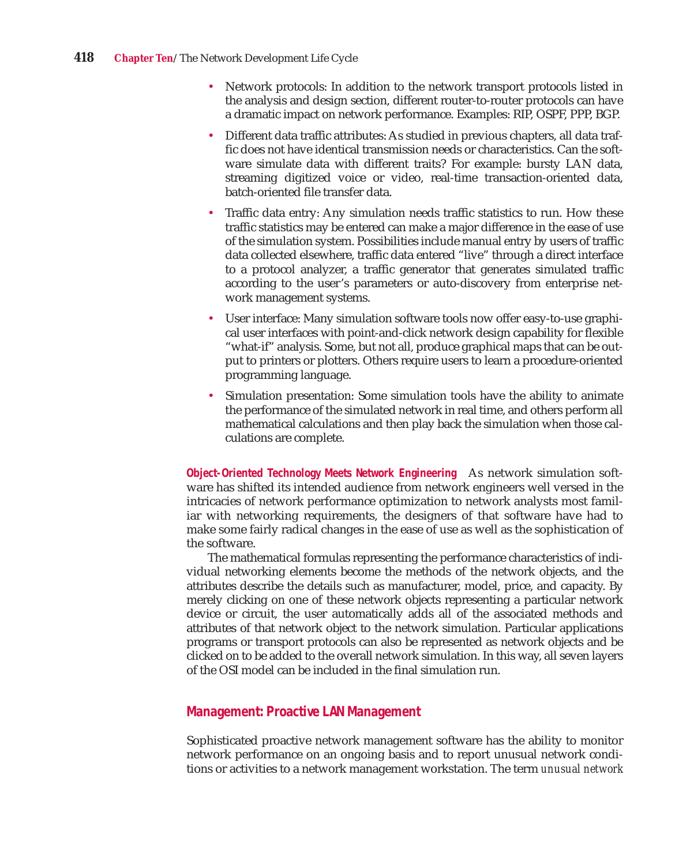- Network protocols: In addition to the network transport protocols listed in the analysis and design section, different router-to-router protocols can have a dramatic impact on network performance. Examples: RIP, OSPF, PPP, BGP.
- Different data traffic attributes: As studied in previous chapters, all data traffic does not have identical transmission needs or characteristics. Can the software simulate data with different traits? For example: bursty LAN data, streaming digitized voice or video, real-time transaction-oriented data, batch-oriented file transfer data.
- Traffic data entry: Any simulation needs traffic statistics to run. How these traffic statistics may be entered can make a major difference in the ease of use of the simulation system. Possibilities include manual entry by users of traffic data collected elsewhere, traffic data entered "live" through a direct interface to a protocol analyzer, a traffic generator that generates simulated traffic according to the user's parameters or auto-discovery from enterprise network management systems.
- User interface: Many simulation software tools now offer easy-to-use graphical user interfaces with point-and-click network design capability for flexible "what-if" analysis. Some, but not all, produce graphical maps that can be output to printers or plotters. Others require users to learn a procedure-oriented programming language.
- Simulation presentation: Some simulation tools have the ability to animate the performance of the simulated network in real time, and others perform all mathematical calculations and then play back the simulation when those calculations are complete.

**Object-Oriented Technology Meets Network Engineering** As network simulation software has shifted its intended audience from network engineers well versed in the intricacies of network performance optimization to network analysts most familiar with networking requirements, the designers of that software have had to make some fairly radical changes in the ease of use as well as the sophistication of the software.

The mathematical formulas representing the performance characteristics of individual networking elements become the methods of the network objects, and the attributes describe the details such as manufacturer, model, price, and capacity. By merely clicking on one of these network objects representing a particular network device or circuit, the user automatically adds all of the associated methods and attributes of that network object to the network simulation. Particular applications programs or transport protocols can also be represented as network objects and be clicked on to be added to the overall network simulation. In this way, all seven layers of the OSI model can be included in the final simulation run.

# **Management: Proactive LAN Management**

Sophisticated proactive network management software has the ability to monitor network performance on an ongoing basis and to report unusual network conditions or activities to a network management workstation. The term *unusual network*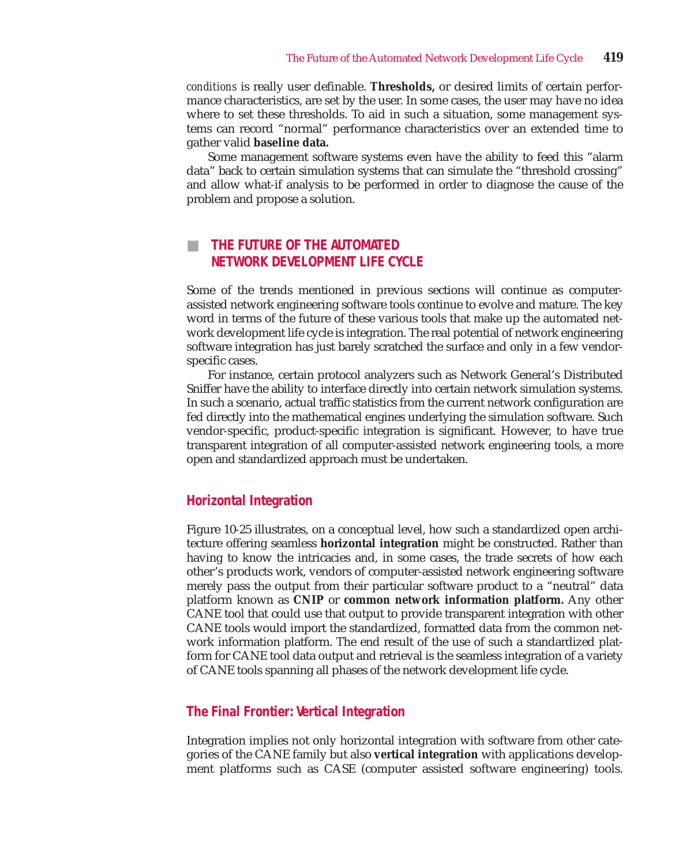*conditions* is really user definable. **Thresholds,** or desired limits of certain performance characteristics, are set by the user. In some cases, the user may have no idea where to set these thresholds. To aid in such a situation, some management systems can record "normal" performance characteristics over an extended time to gather valid **baseline data.**

Some management software systems even have the ability to feed this "alarm data" back to certain simulation systems that can simulate the "threshold crossing" and allow what-if analysis to be performed in order to diagnose the cause of the problem and propose a solution.

# ■ **THE FUTURE OF THE AUTOMATED NETWORK DEVELOPMENT LIFE CYCLE**

Some of the trends mentioned in previous sections will continue as computerassisted network engineering software tools continue to evolve and mature. The key word in terms of the future of these various tools that make up the automated network development life cycle is integration. The real potential of network engineering software integration has just barely scratched the surface and only in a few vendorspecific cases.

For instance, certain protocol analyzers such as Network General's Distributed Sniffer have the ability to interface directly into certain network simulation systems. In such a scenario, actual traffic statistics from the current network configuration are fed directly into the mathematical engines underlying the simulation software. Such vendor-specific, product-specific integration is significant. However, to have true transparent integration of all computer-assisted network engineering tools, a more open and standardized approach must be undertaken.

### **Horizontal Integration**

Figure 10-25 illustrates, on a conceptual level, how such a standardized open architecture offering seamless **horizontal integration** might be constructed. Rather than having to know the intricacies and, in some cases, the trade secrets of how each other's products work, vendors of computer-assisted network engineering software merely pass the output from their particular software product to a "neutral" data platform known as **CNIP** or **common network information platform.** Any other CANE tool that could use that output to provide transparent integration with other CANE tools would import the standardized, formatted data from the common network information platform. The end result of the use of such a standardized platform for CANE tool data output and retrieval is the seamless integration of a variety of CANE tools spanning all phases of the network development life cycle.

### **The Final Frontier: Vertical Integration**

Integration implies not only horizontal integration with software from other categories of the CANE family but also **vertical integration** with applications development platforms such as CASE (computer assisted software engineering) tools.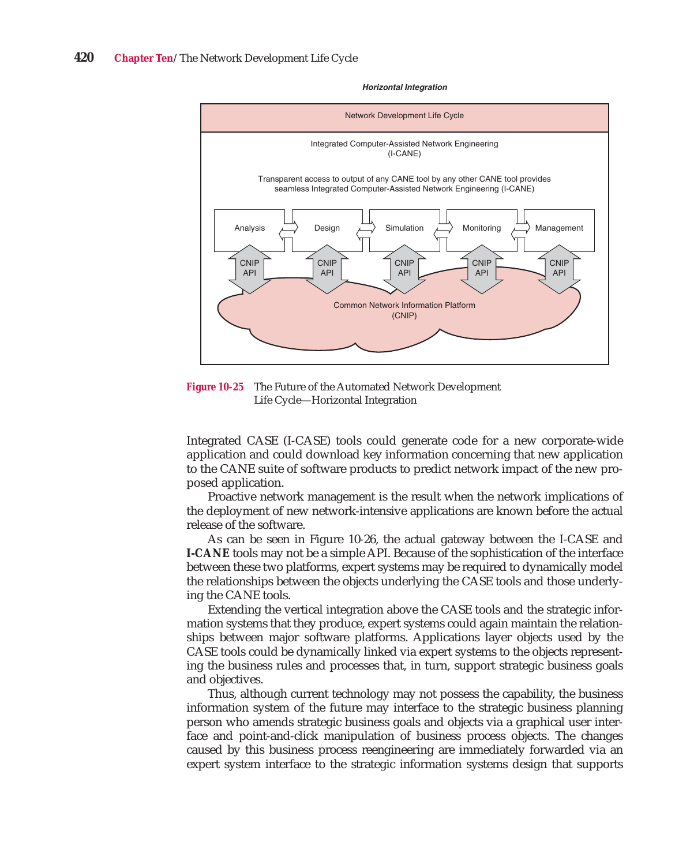



*Figure 10-25* The Future of the Automated Network Development Life Cycle—Horizontal Integration

Integrated CASE (I-CASE) tools could generate code for a new corporate-wide application and could download key information concerning that new application to the CANE suite of software products to predict network impact of the new proposed application.

Proactive network management is the result when the network implications of the deployment of new network-intensive applications are known before the actual release of the software.

As can be seen in Figure 10-26, the actual gateway between the I-CASE and **I-CANE** tools may not be a simple API. Because of the sophistication of the interface between these two platforms, expert systems may be required to dynamically model the relationships between the objects underlying the CASE tools and those underlying the CANE tools.

Extending the vertical integration above the CASE tools and the strategic information systems that they produce, expert systems could again maintain the relationships between major software platforms. Applications layer objects used by the CASE tools could be dynamically linked via expert systems to the objects representing the business rules and processes that, in turn, support strategic business goals and objectives.

Thus, although current technology may not possess the capability, the business information system of the future may interface to the strategic business planning person who amends strategic business goals and objects via a graphical user interface and point-and-click manipulation of business process objects. The changes caused by this business process reengineering are immediately forwarded via an expert system interface to the strategic information systems design that supports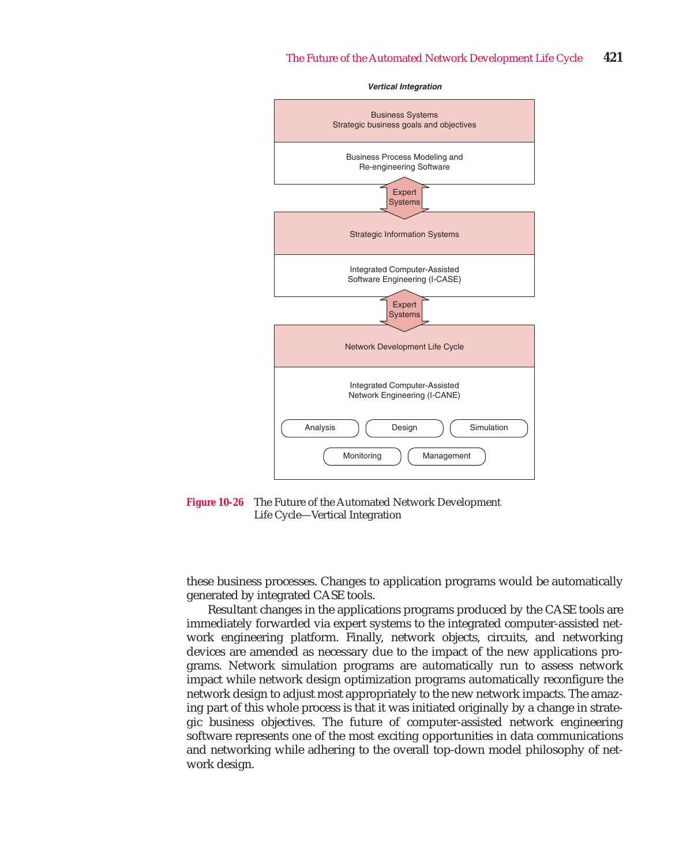*Vertical Integration*



*Figure 10-26* The Future of the Automated Network Development Life Cycle—Vertical Integration

these business processes. Changes to application programs would be automatically generated by integrated CASE tools.

Resultant changes in the applications programs produced by the CASE tools are immediately forwarded via expert systems to the integrated computer-assisted network engineering platform. Finally, network objects, circuits, and networking devices are amended as necessary due to the impact of the new applications programs. Network simulation programs are automatically run to assess network impact while network design optimization programs automatically reconfigure the network design to adjust most appropriately to the new network impacts. The amazing part of this whole process is that it was initiated originally by a change in strategic business objectives. The future of computer-assisted network engineering software represents one of the most exciting opportunities in data communications and networking while adhering to the overall top-down model philosophy of network design.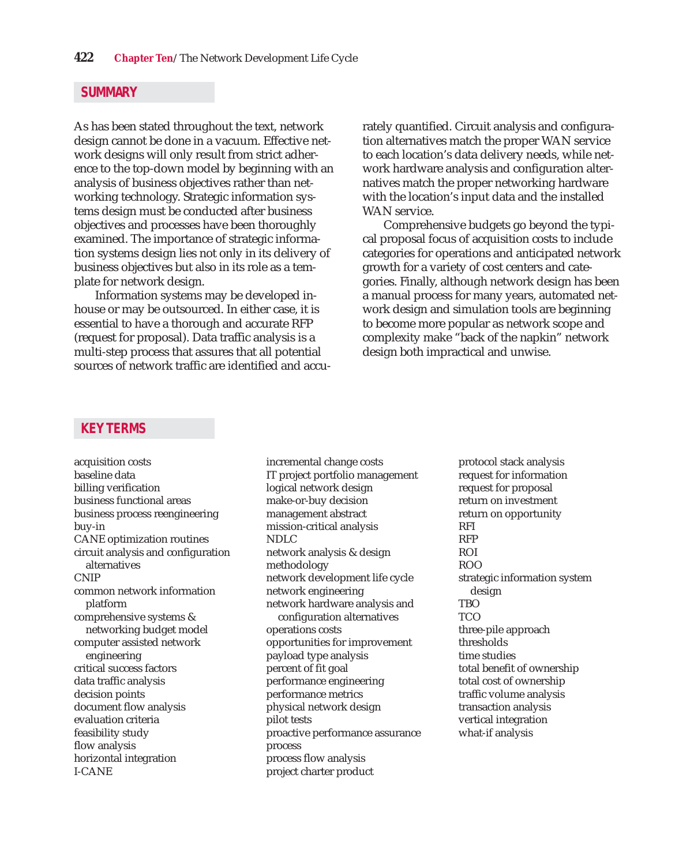# **SUMMARY**

As has been stated throughout the text, network design cannot be done in a vacuum. Effective network designs will only result from strict adherence to the top-down model by beginning with an analysis of business objectives rather than networking technology. Strategic information systems design must be conducted after business objectives and processes have been thoroughly examined. The importance of strategic information systems design lies not only in its delivery of business objectives but also in its role as a template for network design.

Information systems may be developed inhouse or may be outsourced. In either case, it is essential to have a thorough and accurate RFP (request for proposal). Data traffic analysis is a multi-step process that assures that all potential sources of network traffic are identified and accu-

rately quantified. Circuit analysis and configuration alternatives match the proper WAN service to each location's data delivery needs, while network hardware analysis and configuration alternatives match the proper networking hardware with the location's input data and the installed WAN service.

Comprehensive budgets go beyond the typical proposal focus of acquisition costs to include categories for operations and anticipated network growth for a variety of cost centers and categories. Finally, although network design has been a manual process for many years, automated network design and simulation tools are beginning to become more popular as network scope and complexity make "back of the napkin" network design both impractical and unwise.

### **KEY TERMS**

acquisition costs baseline data billing verification business functional areas business process reengineering buy-in CANE optimization routines circuit analysis and configuration alternatives CNIP common network information platform comprehensive systems & networking budget model computer assisted network engineering critical success factors data traffic analysis decision points document flow analysis evaluation criteria feasibility study flow analysis horizontal integration I-CANE

incremental change costs IT project portfolio management logical network design make-or-buy decision management abstract mission-critical analysis NDLC network analysis & design methodology network development life cycle network engineering network hardware analysis and configuration alternatives operations costs opportunities for improvement payload type analysis percent of fit goal performance engineering performance metrics physical network design pilot tests proactive performance assurance process process flow analysis project charter product

protocol stack analysis request for information request for proposal return on investment return on opportunity RFI RFP ROI ROO strategic information system design TBO **TCO** three-pile approach thresholds time studies total benefit of ownership total cost of ownership traffic volume analysis transaction analysis vertical integration what-if analysis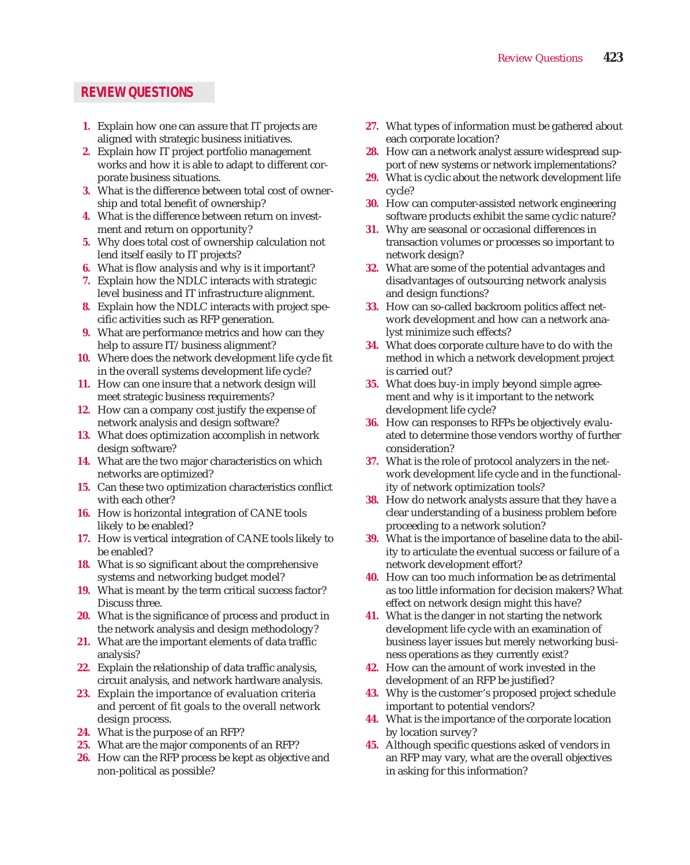# **REVIEW QUESTIONS**

- **1.** Explain how one can assure that IT projects are aligned with strategic business initiatives.
- **2.** Explain how IT project portfolio management works and how it is able to adapt to different corporate business situations.
- **3.** What is the difference between total cost of ownership and total benefit of ownership?
- **4.** What is the difference between return on investment and return on opportunity?
- **5.** Why does total cost of ownership calculation not lend itself easily to IT projects?
- **6.** What is flow analysis and why is it important?
- **7.** Explain how the NDLC interacts with strategic level business and IT infrastructure alignment.
- **8.** Explain how the NDLC interacts with project specific activities such as RFP generation.
- **9.** What are performance metrics and how can they help to assure IT/business alignment?
- **10.** Where does the network development life cycle fit in the overall systems development life cycle?
- **11.** How can one insure that a network design will meet strategic business requirements?
- **12.** How can a company cost justify the expense of network analysis and design software?
- **13.** What does optimization accomplish in network design software?
- **14.** What are the two major characteristics on which networks are optimized?
- **15.** Can these two optimization characteristics conflict with each other?
- **16.** How is horizontal integration of CANE tools likely to be enabled?
- **17.** How is vertical integration of CANE tools likely to be enabled?
- **18.** What is so significant about the comprehensive systems and networking budget model?
- **19.** What is meant by the term critical success factor? Discuss three.
- **20.** What is the significance of process and product in the network analysis and design methodology?
- **21.** What are the important elements of data traffic analysis?
- **22.** Explain the relationship of data traffic analysis, circuit analysis, and network hardware analysis.
- **23.** Explain the importance of evaluation criteria and percent of fit goals to the overall network design process.
- **24.** What is the purpose of an RFP?
- **25.** What are the major components of an RFP?
- **26.** How can the RFP process be kept as objective and non-political as possible?
- **27.** What types of information must be gathered about each corporate location?
- **28.** How can a network analyst assure widespread support of new systems or network implementations?
- **29.** What is cyclic about the network development life cycle?
- **30.** How can computer-assisted network engineering software products exhibit the same cyclic nature?
- **31.** Why are seasonal or occasional differences in transaction volumes or processes so important to network design?
- **32.** What are some of the potential advantages and disadvantages of outsourcing network analysis and design functions?
- **33.** How can so-called backroom politics affect network development and how can a network analyst minimize such effects?
- **34.** What does corporate culture have to do with the method in which a network development project is carried out?
- **35.** What does buy-in imply beyond simple agreement and why is it important to the network development life cycle?
- **36.** How can responses to RFPs be objectively evaluated to determine those vendors worthy of further consideration?
- **37.** What is the role of protocol analyzers in the network development life cycle and in the functionality of network optimization tools?
- **38.** How do network analysts assure that they have a clear understanding of a business problem before proceeding to a network solution?
- **39.** What is the importance of baseline data to the ability to articulate the eventual success or failure of a network development effort?
- **40.** How can too much information be as detrimental as too little information for decision makers? What effect on network design might this have?
- **41.** What is the danger in not starting the network development life cycle with an examination of business layer issues but merely networking business operations as they currently exist?
- **42.** How can the amount of work invested in the development of an RFP be justified?
- **43.** Why is the customer's proposed project schedule important to potential vendors?
- **44.** What is the importance of the corporate location by location survey?
- **45.** Although specific questions asked of vendors in an RFP may vary, what are the overall objectives in asking for this information?